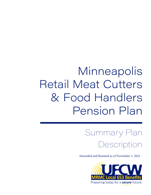# **Minneapolis** Retail Meat Cutters & Food Handlers Pension Plan

Summary Plan Description

Amended and Restated as of November 1, 2021

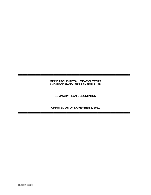#### **MINNEAPOLIS RETAIL MEAT CUTTERS AND FOOD HANDLERS PENSION PLAN**

▀▀▀▀▀▀▀▀▀▀▀▀▀▀▀▀▀▀▀▀▀▀▀▀▀▀▀▀▀

**SUMMARY PLAN DESCRIPTION**

**UPDATED AS OF NOVEMBER 1, 2021**

▀▀▀▀▀▀▀▀▀▀▀▀▀▀▀▀▀▀▀▀▀▀▀▀▀▀▀▀▀▀▀▀▀▀▀▀▀▀▀▀▀▀▀▀▀▀▀▀▀▀▀▀▀▀▀▀▀▀▀▀▀▀▀▀▀▀▀▀▀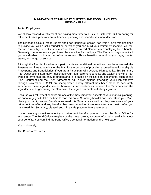#### **MINNEAPOLIS RETAIL MEAT CUTTERS AND FOOD HANDLERS PENSION PLAN**

#### **To All Employees:**

We all look forward to retirement and having more time to pursue our interests. But preparing for retirement takes years of careful financial planning and sound investment decisions.

The Minneapolis Retail Meat Cutters and Food Handlers Pension Plan (this "Plan") was designed to provide you with a solid foundation on which you can build your retirement income. You will receive a monthly benefit if you retire or leave Covered Service after qualifying for a benefit. Generally, the more service you have, the more the Plan will pay. The Plan also pays benefits if you are disabled or if you die before retirement. Those benefits depend on your age, marital status, and length of service.

Although the Plan is closed to new participants and additional benefit accruals have ceased, the Trustees continue to administer the Plan for the purpose of providing accrued benefits to eligible Participants and Beneficiaries. If you are a Participant with accrued Plan benefits, this Summary Plan Description ("Summary") describes your Plan retirement benefits and explains how the Plan works in terms that are easy to understand. It is based on official legal documents, such as the Plan Document and the Trust Agreement. All Trustee actions amending your Plan effective through November 1, 2021 are incorporated. Every attempt has been made to accurately summarize these legal documents, however, if inconsistencies between this Summary and the legal documents governing the Plan arise, the legal documents will always govern.

Because your retirement benefits are one of the most important aspects of your financial planning, we encourage you to take the time to read this entire Summary booklet and understand your Plan. Have your family and/or Beneficiaries read this Summary as well, so they are aware of your retirement benefits and any benefits they may be entitled to receive after your death. After you have read this Summary, please keep it in a safe place for future reference.

If you have any questions about your retirement benefits, please contact the Fund Office for assistance. The Fund Office can give you the most current, accurate information available about your benefits. You can find the Fund Office's contact information on the next page.

Yours sincerely,

The Board of Trustees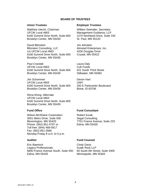#### **BOARD OF TRUSTEES**

Matthew Utecht, Chairman UFCW Local #663 6160 Summit Drive North, Suite 600 Brooklyn Center, MN 55430

David Blitzstein Blitzstein Consulting, LLC c/o UFCW Local #663 6160 Summit Drive North, Suite 600 Brooklyn Center, MN 55430

Paul Crandall UFCW Local #663 6160 Summit Drive North, Suite 600 Brooklyn Center, MN 55430

Jim Schommer UFCW Local #663 6160 Summit Drive North, Suite 600 Brooklyn Center, MN 55430

Rena Wong, Alternate UFCW Local #663 6160 Summit Drive North, Suite 600 Brooklyn Center, MN 55430

Wilson-McShane Corporation 3001 Metro Drive, Suite 500 Bloomington, MN 55425 Phone: (952) 851-5797 or Toll free: (844) 468-5917 Fax: (952) 851-3566 Monday-Friday 8 a.m. to 5 p.m.

Eric Baertsch Legacy Professionals 6800 France Avenue South, Suite 550 Edina, MN 55435

#### **Union Trustees Employer Trustees**

William Seehafer, Secretary Management Guidance, LLP 1270 Northland Drive, Suite 150 St. Paul, MN 55120

Jim Almsted Almsted Enterprises, Inc. 4200 Douglas Drive Crystal, MN 55422

Laura Daly Cub Foods 421 South Third Street Stillwater, MN 55082

Devon Hart UNFI 250 E Parkcenter Boulevard Boise, ID 83706

#### **Fund Office Fund Consultant**

Robert Kurak Segal Consulting 7701 France Avenue, Suite 225 Edina, MN 55435

#### **Auditor Fund Counsel**

Cindy Davis Kutak Rock LLP 60 South 6th Street, Suite 3400 Minneapolis, MN 55402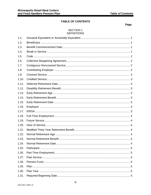## **TABLE OF CONTENTS**

## Page

#### **SECTION 1 DEFINITIONS**

| 1.1.  |  |
|-------|--|
| 1.2.  |  |
| 1.3.  |  |
| 1.4.  |  |
| 1.5.  |  |
| 1.6.  |  |
| 1.7.  |  |
| 1.8.  |  |
| 1.9.  |  |
| 1.10. |  |
| 1.11. |  |
| 1.12. |  |
| 1.13. |  |
| 1.14. |  |
| 1.15. |  |
| 1.16. |  |
| 1.17. |  |
| 1.18. |  |
| 1.19. |  |
| 1.20. |  |
| 1.21. |  |
| 1.22. |  |
| 1.23. |  |
| 1.24. |  |
| 1.25. |  |
| 1.26. |  |
| 1.27. |  |
| 1.28. |  |
| 1.29. |  |
| 1.30. |  |
| 1.31. |  |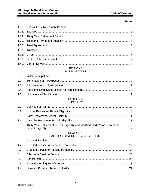#### **SECTION 2 PARTICIPATION**

#### **SECTION 3 ELIGIBILITY**

| 3.5. Thirty Year Retirement Benefit Eligibility and Modified Thirty Year Retirement |  |
|-------------------------------------------------------------------------------------|--|

#### **SECTION 4 FACTORS THAT DETERMINE BENEFITS**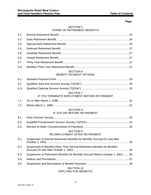#### SECTION 5 FORMS OF RETIREMENT BENEFITS

| 5.1. |                                                                                   |  |
|------|-----------------------------------------------------------------------------------|--|
| 5.2. |                                                                                   |  |
| 5.3. |                                                                                   |  |
| 5.4. |                                                                                   |  |
| 5.5. |                                                                                   |  |
| 5.6. |                                                                                   |  |
| 5.7. |                                                                                   |  |
| 5.8. |                                                                                   |  |
|      | <b>SECTION 6</b><br><b>BENEFIT PAYMENT OPTIONS</b>                                |  |
| 6.1. |                                                                                   |  |
| 6.2. |                                                                                   |  |
| 6.3. |                                                                                   |  |
|      | <b>SECTION 7</b><br>IF YOU TERMINATE EMPLOYMENT BEFORE RETIREMENT                 |  |
| 7.1. |                                                                                   |  |
| 7.2. |                                                                                   |  |
|      | <b>SECTION 8</b><br>IF YOU DIE BEFORE RETIREMENT                                  |  |
| 8.1. |                                                                                   |  |
| 8.2. |                                                                                   |  |
| 8.3. |                                                                                   |  |
|      | <b>SECTION 9</b><br>RE-EMPLOYMENT AFTER RETIREMENT                                |  |
| 9.1. | Suspension of Normal Retirement Benefits for Benefits Accrued On and After<br>.35 |  |
| 9.2. | Suspension of Benefits Other Than Normal Retirement Benefits for Benefits         |  |
| 9.3. | Suspension of Retirement Benefits for Benefits Accrued Before October 1, 200336   |  |
| 9.4. |                                                                                   |  |
| 9.5. |                                                                                   |  |
|      | <b>SECTION 10</b>                                                                 |  |

# APPLYING FOR BENEFITS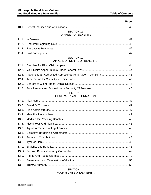|       | <b>SECTION 11</b><br>PAYMENT OF BENEFITS                        |  |
|-------|-----------------------------------------------------------------|--|
| 11.1. |                                                                 |  |
| 11.2. |                                                                 |  |
| 11.3. |                                                                 |  |
| 11.4. |                                                                 |  |
|       | <b>SECTION 12</b><br>APPEAL OF DENIAL OF BENEFITS               |  |
| 12.1. |                                                                 |  |
| 12.2. |                                                                 |  |
| 12.3. | Appointing an Authorized Representative to Act on Your Behalf45 |  |
| 12.4. |                                                                 |  |
| 12.5. |                                                                 |  |
| 12.6. |                                                                 |  |
|       | <b>SECTION 13</b><br><b>GENERAL PLAN INFORMATION</b>            |  |
|       |                                                                 |  |
| 13.1. |                                                                 |  |
| 13.2. |                                                                 |  |
| 13.3. |                                                                 |  |
| 13.4. |                                                                 |  |
| 13.5. |                                                                 |  |
| 13.6. |                                                                 |  |
| 13.7. |                                                                 |  |
| 13.8. |                                                                 |  |
| 13.9. |                                                                 |  |
|       |                                                                 |  |
|       |                                                                 |  |
|       |                                                                 |  |
|       |                                                                 |  |
|       |                                                                 |  |
|       |                                                                 |  |

## YOUR RIGHTS UNDER ERISA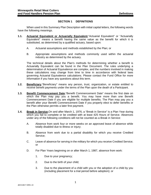#### **SECTION 1 DEFINITIONS**

When used in this Summary Plan Description with initial capital letters, the following words have the following meanings.

- **1.1. Actuarial Equivalent or Actuarially Equivalent.**"Actuarial Equivalent" or "Actuarially Equivalent" means a benefit having the same value as the benefit for which it is substituted, as determined by a qualified actuary, based upon:
	- A. Actuarial assumptions and methods established by the Plan; or
	- B. Appropriate assumptions and methods commonly used within the actuarial industry as determined by the actuary.

The technical details about the Plan's methods for determining whether a benefit is Actuarially Equivalent can be found in the Plan Document. The rules underlying a determination of Actuarial Equivalence are complex, and the numbers involved in making these calculations may change from time to time in accordance with federal laws governing Actuarial Equivalence calculations. Please contact the Fund Office for more information if you have any questions about this term.

- **1.2. Beneficiary.**"Beneficiary" means any person, trust, organization, or estate entitled to receive benefit payments under the terms of the Plan upon the death of a Participant.
- **1.3. Benefit Commencement Date.**"Benefit Commencement Date" means the first date on which the Plan may pay you a benefit. You may have more than one Benefit Commencement Date if you are eligible for multiple benefits. The Plan may pay you a benefit after your Benefit Commencement Date if you properly elect to defer benefits or the Plan otherwise permits a later first payment.
- **1.4. Break in Service.**On and after March 1, 1976, a "Break in Service" is a Plan Year during which you fail to complete or be credited with at least 425 Hours of Service. Absences under any of the following conditions will not be counted as a Break in Service:
	- A. Absence from work four or more weeks on an approved leave of absence while totally disabled due to illness or injury;
	- B. Absence from work due to a partial disability for which you receive Credited Service;
	- C. Leave of absence for serving in the military for which you receive Credited Service; or
	- D. For Plan Years beginning on or after March 1, 1987, absence from work:
		- 1. Due to your pregnancy;
		- 2. Due to the birth of your child;
		- 3. Due to the placement of a child with you or the adoption of a child by you (including placement for a trial period before adoption); or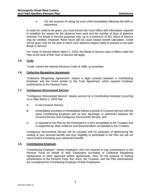4. For the purpose of caring for such child immediately following the birth or placement.

In order for credit to be given, you must furnish the Fund Office with information required to establish the reason for the absence from work and the number of days of absence involved. For Break in Service purposes only, up to a maximum of 501 Hours of Service may be credited. However, these hours will not count toward benefit calculation. Credit will be given only for the year in which such absence begins solely to prevent a one-year Break in Service.

For Years of Service before March 1, 1976, the Break in Service rules in effect under the Plan at the time of that Year of Service will apply.

#### **1.5. Code.**

"Code" means the Internal Revenue Code of 1986, as amended.

#### **1.6. Collective Bargaining Agreement.**

"Collective Bargaining Agreement" means a legal contract between a Contributing Employer and the Union parties to the Trust Agreement, which requires employer contributions to the Pension Fund.

#### **1.7. Contiguous Noncovered Service.**

"Contiguous Noncovered Service" means service for a Contributing Employer occurring on or after March 1, 1976 that:

- A. Is not Covered Service;
- B. Immediately precedes or immediately follows a period of Covered Service with the same Contributing Employer with no quit, discharge, or retirement between the Covered Service and Contiguous Noncovered Service; and
- C. Is reported to the Plan by the Participant in a form acceptable to the Trustees and is supported by other evidence and documentation acceptable to the Trustees.

Contiguous Noncovered Service will be counted only for purposes of determining the vesting of your accrued benefit and your eligibility to participate in the Plan but will not count toward increasing your retirement benefit.

#### **1.8. Contributing Employer.**

"Contributing Employer" means employers who are required to pay contributions to the Pension Fund on behalf of their Employees according to Collective Bargaining Agreements or other approved written agreements. Also, for the purpose of making contributions to the Pension Fund, the Union, the Trustees, and the Plan Administrator are considered the Contributing Employer of their Employees.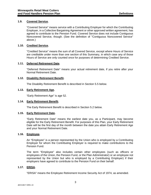#### **1.9. Covered Service.**

"Covered Service" means service with a Contributing Employer for which the Contributing Employer, in a Collective Bargaining Agreement or other approved written agreement, has agreed to contribute to the Pension Fund. Covered Service does not include Contiguous Noncovered Service, though. (See the definition of "Contiguous Noncovered Service" above.)

#### **1.10. Credited Service.**

"Credited Service" means the sum of all Covered Service, except where Hours of Service are creditable under more than one section of this Summary, in which case any of those Hours of Service are only counted once for purposes of determining Credited Service.

#### **1.11. Deferred Retirement Date.**

"Deferred Retirement Date" means your actual retirement date, if you retire after your Normal Retirement Date.

#### **1.12. Disability Retirement Benefit.**

The Disability Retirement Benefit is described in Section [5.5 below.](#page-35-0)

#### **1.13. Early Retirement Age.**

"Early Retirement Age" is age 52.

#### **1.14. Early Retirement Benefit.**

The Early Retirement Benefit is described in Section [5.2 below.](#page-34-0)

#### **1.15. Early Retirement Date.**

"Early Retirement Date" means the earliest date you, as a Participant, may become eligible for the Early Retirement Benefit. For purposes of this Plan, your Early Retirement Date will be the first day of the month between the date you attain Early Retirement Age and your Normal Retirement Date.

#### **1.16. Employee.**

An "Employee" is a person represented by the Union who is employed by a Contributing Employer for whom the Contributing Employer is required to make contributions to the Pension Fund.

The term "Employee" also includes certain other employees (such as officers or employees of the Union, the Pension Fund, or the Plan Administrator) or an employee not represented by the Union but who is employed by a Contributing Employer) if their employers have agreed to contribute to the Pension Fund on their behalf.

#### **1.17. ERISA.**

"ERISA" means the Employee Retirement Income Security Act of 1974, as amended.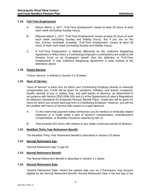#### **1.18. Full-Time Employment.**

- A. Before March 1, 1977, "Full-Time Employment" meant at least 25 hours of work each week (excluding Sunday hours).
- B. Effective March 1, 1977, "Full-Time Employment" means at least 32 hours of work each week (excluding Sunday and holiday hours). But if you are on the four, 10-hour workweek schedule, "Full-Time Employment" means at least 30 hours of work each week (excluding Sunday and holiday hours).
- C. If Full-Time Employment is defined differently by the Collective Bargaining Agreement in effect when a Contributing Employer's contributions are made to the Pension Fund on an Employee's behalf, then the definition of "Full-Time Employment" in that Collective Bargaining Agreement is used instead of the definitions above.

#### **1.19. Future Service.**

"Future Service" is defined in Section [4.1.B below.](#page-23-0)

#### **1.20. Hour of Service.**

"Hour of Service" is each hour for which your Contributing Employer directly or indirectly compensates you. Credit will be given for vacations, holidays, sick leaves, incapacity, layoffs, periods of jury or military duty, and paid leaves of absence, as determined in accordance with Section 2530.200b-2(b) and (c) of the Department of Labor's Regulations for Minimum Standards for Employee Pension Benefit Plans. Credit also will be given for hours for which you receive back pay from a Contributing Employer. However, you will not be credited with Hours of Service with respect to a paid absence:

- A. To the extent that payment solely reimburses you for medical or medically related expenses or is made under a plan of worker's compensation, unemployment compensation, or disability insurance required by law; or
- B. That exceeds 501 hours with respect to any single continuous period of absence.

#### **1.21. Modified Thirty Year Retirement Benefit.**

The Modified Thirty Year Retirement Benefit is described in Section [5.8 below.](#page-35-1)

#### **1.22. Normal Retirement Age.**

"Normal Retirement Age" is age 62.

#### **1.23. Normal Retirement Benefit.**

The Normal Retirement Benefit is described in Section [5.1 below.](#page-33-0)

#### **1.24. Normal Retirement Date.**

"Normal Retirement Date" means the earliest date you, as a Participant, may become eligible for the Normal Retirement Benefit. Normal Retirement Date is the first day of the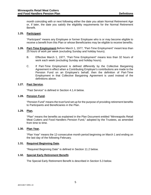month coinciding with or next following either the date you attain Normal Retirement Age or, if later, the date you satisfy the eligibility requirements for the Normal Retirement Benefit.

#### **1.25. Participant.**

"Participant" means any Employee or former Employee who is or may become eligible to receive a benefit from this Plan or whose Beneficiaries may be eligible to receive benefits.

- **1.26. Part-Time Employment.**Before March 1, 1977, "Part-Time Employment" meant less than 25 hours of work per week (excluding Sunday and holiday hours).
	- B. Effective March 1, 1977, "Part-Time Employment" means less than 32 hours of work each week (excluding Sunday and holiday hours).
	- C. If Part-Time Employment is defined differently by the Collective Bargaining Agreement in effect when a Contributing Employer's contributions are made to the Pension Fund on an Employee's behalf, then the definition of Part-Time Employment in that Collective Bargaining Agreement is used instead of the definitions above.

#### **1.27. Past Service.**

"Past Service" is defined in Section [4.1.A below.](#page-22-0)

#### **1.28. Pension Fund.**

"Pension Fund" means the trust fund set up for the purpose of providing retirement benefits to Participants and Beneficiaries in the Plan.

#### **1.29. Plan.**

"Plan" means the benefits as explained in the Plan Document entitled "Minneapolis Retail Meat Cutters and Food Handlers Pension Fund," adopted by the Trustees, as amended from time to time.

#### **1.30. Plan Year.**

"Plan Year" means the 12-consecutive month period beginning on March 1 and ending on the last day of the following February.

#### **1.31. Required Beginning Date.**

"Required Beginning Date" is defined in Section [11.2 below.](#page-50-0)

#### **1.32. Special Early Retirement Benefit.**

The Special Early Retirement Benefit is described in Section [5.3 below.](#page-34-1)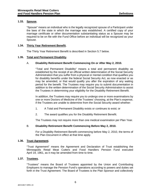#### **1.33. Spouse.**

"Spouse" means an individual who is the legally recognized spouse of a Participant under the laws of the state in which the marriage was established. A certified copy of your marriage certificate or other documentation substantiating status as a Spouse may be required to be on file with the Fund Office before an individual will be recognized as your Spouse.

#### <span id="page-14-0"></span>**1.34. Thirty Year Retirement Benefit.**

The Thirty Year Retirement Benefit is described in Section [5.7 below.](#page-35-2)

#### **1.35. Total and Permanent Disability.**

#### A. **Disability Retirement Benefit Commencing On or After May 2, 2010.**

"Total and Permanent Disability" means a total and permanent disability as established by the receipt of an official written determination of the Social Security Administration that you suffer from a physical or mental condition that qualifies you for disability benefits under the federal Social Security Act, as now enacted or as may be amended, or that would qualify you after the expiration of any waiting period for the benefit. The Trustees may require you to submit documentation in addition to the written determination of the Social Security Administration to assist the Trustees in determining your eligibility for the Disability Retirement Benefit.

In addition, the Trustees may require you to undergo one or more examinations by one or more Doctors of Medicine of the Trustees' choosing, at the Plan's expense, if the Trustees are unable to determine from the Social Security award whether:

- 1. A Total and Permanent Disability exists or continues to exist; or
- 2. The award qualifies you for the Disability Retirement Benefit.

The Trustees may not require more than one medical examination per Plan Year.

#### B. **Disability Retirement Benefit Commencing Before May 2, 2010.**

For a Disability Retirement Benefit commencing before May 2, 2010, the terms of the Plan Document in effect at that time apply.

#### **1.36. Trust Agreement.**

"Trust Agreement" means the Agreement and Declaration of Trust establishing the Minneapolis Retail Meat Cutters and Food Handlers Pension Fund executed April 19, 1961, as it may be amended from time to time.

#### **1.37. Trustees.**

"Trustees" means the Board of Trustees appointed by the Union and Contributing Employers to manage the Pension Fund's operations according to powers and duties set forth in the Trust Agreement. The Board of Trustees is the Plan Sponsor and collectively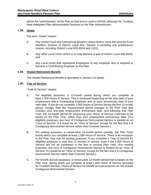will be the "administrator" of the Plan as that term is used in ERISA, although the Trustees have delegated Plan administration functions to the Plan Administrator.

#### **1.38. Union.**

The term "Union" means:

- A. The United Food and Commercial Workers Union District Local 663 and the Food Handlers Division of District Local 663, Section A (including any predecessor Unions, including District Local 653-653A and 1161);
- B. Any other Local Union which is or may become a part of District Local 663-663A; and
- C. Any Local Union that represents Employees of any employer who is required to become a Contributing Employer to this Plan.

#### **1.39. Vested Retirement Benefit.**

The Vested Retirement Benefit is described in Section [5.6 below.](#page-35-3)

#### **1.40. Year of Service.**

"Year of Service" means:

- <span id="page-15-0"></span>A. For eligibility purposes, a 12-month period during which you complete at least 1,000 Hours of Service. This is measured beginning on the start date of your employment with a Contributing Employer and on each anniversary date of your start date. If you do not complete 1,000 Hours of Service during the first 12-month period, though, then the measurement period changes to the Plan Year that includes your one-year employment anniversary date, and following that Plan Year, the 12-month period for measuring your Hours of Service continues to be based on the Plan Year, rather than your employment anniversary date. (For eligibility purposes, any hour of Contiguous Noncovered Service is treated as an "Hour of Service" if it would be an "Hour of Service" except for the fact that it is Contiguous Noncovered Service rather than Covered Service.)
- B. For vesting purposes, a consecutive 12-month period (usually, the Plan Year) during which you complete at least 1,000 Hours of Service. There is an exception to the Plan Year rule for vesting purposes, if you complete a Year of Service for eligibility purposes in your first 12 months of service, even if the 1,000 Hours of Service are not all completed in the first or second Plan Year. (For vesting purposes, any hour of Contiguous Noncovered Service is treated as an "Hour of Service" if it would be an "Hour of Service" except for the fact that it is Contiguous Noncovered Service rather than Covered Service.)
- <span id="page-15-1"></span>C. For benefit accrual purposes, a consecutive 12-month period that is based on the Plan Year, during which you complete at least 1,000 Hours of Service (prorated for Credited Service). Hours of Service for benefit accrual purposes do not include Contiguous Noncovered Service.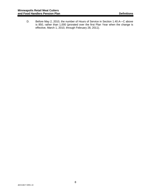D. Before May 2, 2010, the number of Hours of Service in Section [1.40.A—](#page-15-0)[C above](#page-15-1) is 850, rather than 1,000 (prorated over the first Plan Year when the change is effective, March 1, 2010, through February 28, 2011).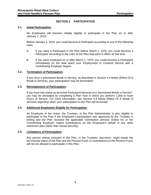#### **SECTION 2 PARTICIPATION**

#### **2.1. Initial Participation.**

No Employees will become initially eligible to participate in the Plan on or after January 1, 2019.

Before January 1, 2019, you could become a Participant according to one of the following rules:

- A. If you were a Participant in the Plan before March 1, 1976, you could become a Participant according to the rules of the Plan that were in effect at that time.
- B. If you were employed on or after March 1, 1976, you could become a Participant immediately on the date when your Employment in Covered Service with a Contributing Employer begins.

#### **2.2. Termination of Participation.**

If you incur a permanent Break in Service, as described in Section [4.4 below](#page-28-0) [\(Effect Of A](#page-28-0)  [Break In Service\)](#page-28-0), your participation may be terminated.

#### **2.3. Reinstatement of Participation.**

If you have lost status as an active Participant because of a "permanent Break in Service", you may be reinstated by completing a Plan Year in which you perform 1,000 or more Hours of Service. For more information, see Section [4.4 below](#page-28-0) [\(Effect Of A Break In](#page-28-0)  [Service\)](#page-28-0) regarding when your participation in the Plan will terminate.

#### **2.4. Additional Employees Eligible for Participation.**

An Employee of the Union, the Trustees, or the Plan Administrator is also eligible to participate in the Plan if the Employee's participation was approved by the Trustees in writing and the Plan received the applicable contribution amount, unless his or her Contributing Employer makes contributions on the Employee's behalf to any other retirement plan (other than Social Security).

#### **2.5. Limitations of Participation.**

Any person whose inclusion in the Plan, in the Trustees' discretion, might impair the tax-exempt status of the Plan and the Pension Fund, or contributions to the Pension Fund, will not be allowed to participate in this Plan.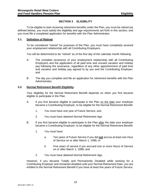#### **SECTION 3 ELIGIBILITY**

<span id="page-18-0"></span>To be eligible to start receiving retirement benefits under the Plan, you must be retired (as defined below), you must satisfy the eligibility and age requirements set forth in this section, and you must file a completed application for benefits with the Plan Administrator.

#### **3.1. Definition of Retired.**

To be considered "retired" for purposes of the Plan, you must have completely severed your employment relationship with all Contributing Employers.

You will be determined to be "retired" as of the first day of the calendar month following:

- A. The complete severance of your employment relationship with all Contributing Employers and the application of all paid time and unused vacation and holiday pay following the severance, regardless of any other apportionment of paid time and vacation and holiday pay agreed to by you and the Contributing Employer; and
- B. The day you complete and file an application for retirement benefits with the Plan Administrator.

#### **3.2. Normal Retirement Benefit Eligibility.**

Your eligibility for the Normal Retirement Benefit depends on when you first became eligible to participate in the Plan.

- A. If you first became eligible to participate in the Plan on the date your employer became a Contributing Employer, to be eligible for the Normal Retirement Benefit:
	- 1. You must have one year of Future Service; and
	- 2. You must have attained Normal Retirement Age.
- B. If you first became eligible to participate in the Plan after the date your employer became a Contributing Employer, to be eligible for the Normal Retirement Benefit:
	- 1. You must have:
		- a. Ten years of Future Service if you did **not** accrue at least one Hour of Service on or after March 1, 1998; or
		- b. Five years of service if you accrued one or more Hours of Service on or after March 1, 1998; and
	- 2. You must have attained Normal Retirement Age.

However, if you became Totally and Permanently Disabled while working for a Contributing Employer and remained disabled until your Normal Retirement Date, you are entitled to the Normal Retirement Benefit if you have at least five years of Future Service.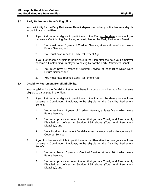#### **3.3. Early Retirement Benefit Eligibility.**

Your eligibility for the Early Retirement Benefit depends on when you first became eligible to participate in the Plan.

- A. If you first became eligible to participate in the Plan on the date your employer became a Contributing Employer, to be eligible for the Early Retirement Benefit:
	- 1. You must have 15 years of Credited Service, at least three of which were Future Service; and
	- 2. You must have reached Early Retirement Age.
- B. If you first became eligible to participate in the Plan after the date your employer became a Contributing Employer, to be eligible for the Early Retirement Benefit:
	- 1. You must have 15 years of Credited Service, at least 10 of which were Future Service; and
	- 2. You must have reached Early Retirement Age.

#### **3.4. Disability Retirement Benefit Eligibility.**

Your eligibility for the Disability Retirement Benefit depends on when you first became eligible to participate in the Plan.

- A. If you first became eligible to participate in the Plan on the date your employer became a Contributing Employer, to be eligible for the Disability Retirement Benefit:
	- 1. You must have 15 years of Credited Service, at least five of which were Future Service;
	- 2. You must provide a determination that you are Totally and Permanently Disabled as defined in Section [1.34 above](#page-14-0) [\(Total And Permanent](#page-14-0)  [Disability\)](#page-14-0); and
	- 3. Your Total and Permanent Disability must have occurred while you were in Covered Service.
- B. If you first became eligible to participate in the Plan after the date your employer became a Contributing Employer, to be eligible for the Disability Retirement Benefit:
	- 1. You must have 15 years of Credited Service, at least 10 of which were Future Service;
	- 2. You must provide a determination that you are Totally and Permanently Disabled as defined in Section [1.34 above](#page-14-0) [\(Total And Permanent](#page-14-0)  [Disability\)](#page-14-0); and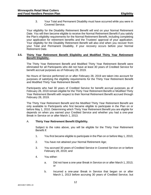3. Your Total and Permanent Disability must have occurred while you were in Covered Service.

Your eligibility for the Disability Retirement Benefit will end on your Normal Retirement Date. You will then become eligible to receive the Normal Retirement Benefit if you satisfy the Plan's eligibility requirements for the Normal Retirement Benefit, including completing your application for retirement benefits and the Trustees' approval of your application. Your eligibility for the Disability Retirement Benefit will also end when you recover from your Total and Permanent Disability, if your recovery occurs before your Normal Retirement Date.

#### <span id="page-20-0"></span>**3.5. Thirty Year Retirement Benefit Eligibility and Modified Thirty Year Retirement Benefit Eligibility .**

The Thirty Year Retirement Benefit and Modified Thirty Year Retirement Benefit were eliminated for all Participants who did not have at least 30 years of Credited Service for benefit accrual purposes as of February 28, 2019.

No Hours of Service performed on or after February 28, 2019 are taken into account for purposes of satisfying the eligibility requirements for the Thirty Year Retirement Benefit and Modified Thirty Year Retirement Benefit.

Participants who had 30 years of Credited Service for benefit accrual purposes as of February 28, 2019 remain eligible for the Thirty Year Retirement Benefit or Modified Thirty Year Retirement Benefit with respect to their Normal Retirement Benefit accrued through February 28, 2019.

The Thirty Year Retirement Benefit and the Modified Thirty Year Retirement Benefit are only available to Participants who first became eligible to participate in the Plan on or before May 1, 2010. Determining which Thirty Year Retirement Benefit you are eligible for depends on when you earned your Credited Service and whether you had a one-year Break in Service on or after March 1, 2013.

#### A. **Thirty Year Retirement Benefit Eligibility.**

Subject to the rules above, you will be eligible for the Thirty Year Retirement Benefit if:

- 1. You first became eligible to participate in the Plan on or before May 1, 2010;
- 2. You have not attained your Normal Retirement Age;
- 3. You accrued 30 years of Credited Service in Covered Service on or before February 28, 2019; and
- 4. You either:
	- a. Did not have a one-year Break in Service on or after March 1, 2013; or
	- b. Incurred a one-year Break in Service that began on or after March 1, 2013 before accruing 30 years of Credited Service, but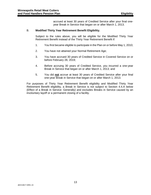accrued at least 30 years of Credited Service after your final oneyear Break in Service that began on or after March 1, 2013.

#### B. **Modified Thirty Year Retirement Benefit Eligibility.**

Subject to the rules above, you will be eligible for the Modified Thirty Year Retirement Benefit instead of the Thirty Year Retirement Benefit if:

- 1. You first became eligible to participate in the Plan on or before May 1, 2010;
- 2. You have not attained your Normal Retirement Age;
- 3. You have accrued 30 years of Credited Service in Covered Service on or before February 28, 2019;
- 4. Before accruing 30 years of Credited Service, you incurred a one-year Break in Service that began on or after March 1, 2013; and
- 5. You did **not** accrue at least 30 years of Credited Service after your final one-year Break in Service that began on or after March 1, 2013.

For purposes of Thirty Year Retirement Benefit eligibility and Modified Thirty Year Retirement Benefit eligibility, a Break in Service is not subject to Section [4.4.A below](#page-28-1) (Effect of a Break in Service: Generally) and excludes Breaks in Service caused by an involuntary layoff or a permanent closing of a facility.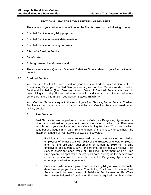#### **SECTION 4 FACTORS THAT DETERMINE BENEFITS**

The amount of your retirement benefit under the Plan is based on the following criteria:

- Credited Service for eligibility purposes;
- Credited Service for benefit determination;
- Credited Service for vesting purposes;
- Effect of a Break In Service;
- Benefit rate;
- Rules governing benefit levels; and
- The existence of any Qualified Domestic Relations Orders related to your Plan retirement benefit.

#### **4.1. Credited Service.**

You receive Credited Service based on your hours worked in Covered Service for a Contributing Employer. Credited Service also is given for Past Service as described in Section [4.1.A below](#page-22-0) [\(Past Service\)](#page-22-0) below. Years of Credited Service are used in determining your eligibility for retirement benefits and the amount of your retirement benefit. For more information, see [Section 3 above](#page-18-0) [\(Eligibility\)](#page-18-0).

Your Credited Service is equal to the sum of your Past Service, Future Service, Credited Service accrued during a period of partial disability, and Credited Service accrued during military service.

#### <span id="page-22-0"></span>A. **Past Service.**

Past Service is service performed under a Collective Bargaining Agreement or other approved written agreement before the date on which the Plan was established or your employer became a Contributing Employer. The date on which contributions began may vary from one part of the industry to another. The maximum amount of Past Service allowable is 20 years.

- 1. Participants who were represented by or were salaried or clerical employees of former Local 653-653A or the Trustees who were employed and met the eligibility requirements on March 1, 1960 for full-time employees and March 1, 1977 for part-time employees will receive Past Service credit for each week of Full-Time Employment or Part-Time Employment, as applicable, before such date, as long as the service was in an occupation covered under the Collective Bargaining Agreement or other approved written agreement.
- 2. Participants who were employed and met the eligibility requirements on the date their employer became a Contributing Employer will receive Past Service credit for each week of Full-Time Employment or Part-Time Employment before the Contributing Employer's required contribution date.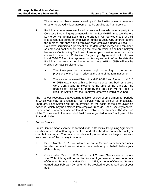The service must have been covered by a Collective Bargaining Agreement or other approved written agreement to be credited as Past Service.

- 3. Participants who were employed by an employer who was a party to a Collective Bargaining Agreement with former Local 615 immediately before its merger with former Local 653 are granted Past Service credit for their last continuous period of employment under a Local 615 contract before the merger, but only if the Employee was employed under a Local 615 Collective Bargaining Agreement on the date of the merger and remained so employed continuously through the date on which his or her employer became a Contributing Employer. However, past service performed while covered under a Collective Bargaining Agreement with former Local 653-653A or other approved written agreement before the date the Participant became a member of former Local 615 or 653B will not be credited as Past Service unless:
	- a. The Participant has a vested right according to the vesting provisions of the Plan in effect at the time of the termination; or
	- b. The transfer between District Local 653-653A and former Local 615 or 653B was made within a 26-week period and both employers were Contributing Employers at the time of the transfer. The granting of Past Service credit by this provision will not repair a Break in Service that the Employee otherwise would have had.

The Trustees recognize that obtaining reliable records of employment for periods in which you may be entitled to Past Service may be difficult or impossible. Therefore, Past Service will be determined on the basis of the best available evidence, which may be obtained from employer records, Social Security records, Union records, or other evidence found acceptable to the Trustees. The decision of the Trustees as to the amount of Past Service granted to any Employee will be final and binding.

#### <span id="page-23-0"></span>B. **Future Service.**

Future Service means service performed under a Collective Bargaining Agreement or other approved written agreement on and after the date on which employer contributions began. The date on which employer contributions began may vary from one part of the industry to another.

- 1. Before March 1, 1976, you will receive Future Service credit for each week for which an employer contribution was made on your behalf, before your 65th birthday.
- 2. On and after March 1, 1976, all hours of Covered Service earned before your 70th birthday will be credited to you. If you earned at least one hour of Covered Service on or after March 1, 1989, all hours of Covered Service earned after February 29, 1976 will be credited to you regardless of your age.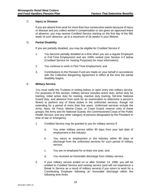#### C. **Injury or Disease.**

If you are absent from work for more than four consecutive weeks because of injury or disease and you collect worker's compensation or are given an approved leave of absence, you may receive Credited Service starting on the first day of the fifth week of such absence, up to a maximum of 26 weeks in your lifetime.

#### D. **Partial Disability.**

If you are partially disabled, you may be eligible for Credited Service if:

- 1. You become partially disabled at a time when you are a regular Employee in Full-Time Employment and are 100% vested (see Section [4.3 below](#page-26-0) [\(Credited](#page-26-0) Service for Vesting Purposes) for more information);
- 2. You continue to work in Part-Time Employment; and
- 3. Contributions to the Pension Fund are made on your behalf in accordance with the Collective Bargaining Agreement in effect at the time the partial disability begins.

#### E. **Military Service.**

You must notify the Trustees in writing before or upon entry into military service. For purposes of this section, military service includes active duty, active duty for training, initial active duty for training, inactive duty training, full-time National Guard duty, and absence from work for an examination to determine a person's fitness to perform any of these duties in the uniformed services, though not extending for a period of more than five years. Uniformed services include the Army, Navy, Air Force, Marine Corps, or Coast Guard; reserve units of these groups; the Army and Air National Guards; the Commissioned Corps of the Public Health Service; and any other category of persons designated by the President in time of war or emergency.

- 1. Credited Service may be granted to you for military service if:
	- a. You enter military service within 90 days from your last date of employment in the industry;
	- b. You return to employment in the industry within 90 days of discharge from the uniformed services for such period of military service;
	- c. You are re-employed for at least one year; and
	- d. You received an honorable discharge from military service.
- 2. If your military service ended on or after October 13, 1998, you will be entitled to Credited Service and vesting service (and will not experience a Break In Service as a result of military service) if you return to work for a Contributing Employer following an honorable discharge within the following time limits: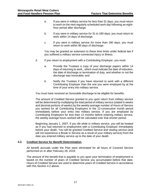- a. If you were in military service for less than 31 days, you must return to work on the next regularly scheduled work day following an eighthour period after discharge.
- b. If you were in military service for 31 to 180 days, you must return to work within 14 days of discharge.
- c. If you were in military service for more than 180 days, you must return to work within 90 days of discharge.

You may be granted an extension to these time limits under federal law if you suffered a military service-connected injury or illness.

- 3. If you return to employment with a Contributing Employer, you must:
	- a. Provide the Trustees a copy of your discharge papers within 14 days of returning to work,, which must indicate the date of induction, the date of discharge or termination of duty, and whether or not the discharge was honorable; and
	- b. Notify the Trustees if you have returned to work with a different Contributing Employer than the one you were employed by at the time of your entry into military service.

You must have received an honorable discharge to be eligible for benefits.

The amount of Credited Service granted to you upon return from military service will be determined by multiplying the total period of military service (stated in weeks and decimal portions of weeks) by the weekly average number of Hours of Service you worked for all Contributing Employers in the 12-consecutive month period immediately before your entry into military service. If you are employed by Contributing Employers for less than 12 months before entering military service, the weekly average hours worked will be calculated over that shorter period.

Beginning January 1, 2007, if you die while in military service, you will be treated as if you had returned to employment with a Contributing Employer immediately before your death. You will be granted Credited Service and vesting service (and will not experience a Break in Service as a result of your military service) from the date you entered military service up to the date of your death.

#### <span id="page-25-0"></span>**4.2. Credited Service for Benefit Determination.**

All benefit accruals under the Plan were eliminated for all hours of Covered Service performed on or after February 28, 2019.

The amount of the benefit that is payable to you upon your termination of employment is based on the number of years of Credited Service you accumulated before that date. Hours of Credited Service are used to determine years of Credited Service in accordance with this Section [4.2 above.](#page-25-0)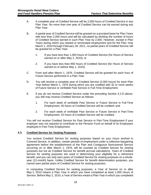- A. A complete year of Credited Service will be 2,000 hours of Credited Service in any Plan Year. No more than one year of Credited Service can be earned during any Plan Year.
- B. A partial year of Credited Service will be granted on a prorated basis for Plan Years with less than 2,000 hours and will be calculated by dividing the number of hours of Credited Service earned in such Plan Year by 2,000. However, except in Plan Years during which you started or terminated employment and for the Plan Year March 1, 2010 through February 28, 2011, no partial years of Credited Service will be granted for a Plan Year:
	- 1. If you have less than 1,000 hours of Credited Service (for Hours of Service earned on or after May 2, 2010); or
	- 2. If you have less than 850 hours of Credited Service (for Hours of Service earned on or before May 1, 2010).
- C. From and after March 1, 1976, Credited Service will be granted for each hour of Future Service performed in a Plan Year.
- <span id="page-26-1"></span>D. You will receive a complete year of Credited Service (2,000 hours) for each Plan Year before March 1, 1976 during which you are credited with 32 or more weeks of Future Service or verifiable Past Service in Full-Time Employment.
- E. If you do not receive Credited Service under the preceding Section [4.2.D above,](#page-26-1) you still may receive Credited Service as follows:
	- 1. For each week of verifiable Past Service or Future Service in Full-Time Employment, 40 hours of Credited Service will be credited; and
	- 2. For each week of verifiable Past Service or Future Service in Part-Time Employment, 20 hours of Credited Service will be credited.

You will not receive Credited Service for Past Service in Part-Time Employment if your employer was not required to contribute to the Pension Fund on behalf of its Employees employed in Part-Time Employment.

#### <span id="page-26-0"></span>**4.3. Credited Service for Vesting Purposes.**

You receive Credited Service for vesting purposes based on your hours worked in Covered Service. In addition, certain periods of employment under a collective bargaining agreement before the establishment of the Plan and Contiguous Noncovered Service occurring on or after March 1, 1976, will be counted as Credited Service for vesting purposes but not as Credited Service for benefit accrual calculations. Years of Credited Service for vesting purposes are used in determining your eligibility for a retirement benefit, and you can only earn years of Credited Service for vesting purposes on a wholeyear (12-month) basis. Unlike Credited Service for benefit determination purposes, you cannot earn partial years of Credited Service for vesting purposes.

In computing Credited Service for vesting purposes, a Year of Service on or after May 2, 2010 means a Plan Year in which you have completed at least 1,000 Hours of Service. Before May 2, 2010, a Year of Service meant a Plan Year in which you completed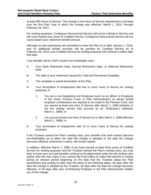at least 850 Hours of Service. The change in the Hours of Service requirement is prorated over the first Plan Year in which the change was effective: March 1, 2010, through February 28, 2011.

For vesting purposes, Contiguous Noncovered Service will not be a Break in Service and will count toward your years of Credited Service. Contiguous Noncovered Service will not count toward your retirement benefit amount.

Although no new participants are permitted to enter the Plan on or after January 1, 2019, and no additional benefit accruals will be granted for Credited Service as of February 28, 2019, your Credited Service for vesting purposes will continue in effect after that date.

Your benefits will be 100% vested (non-forfeitable) upon:

- A. Your Early Retirement Date, Normal Retirement Date, or Deferred Retirement Date;
- B. The date of your retirement caused by Total and Permanent Disability;
- C. The complete or partial termination of the Plan;
- D. Your termination of employment with five or more Years of Service for vesting purposes, if:
	- 1. You are a non-bargaining unit Employee (such as an officer or Employee of the Union, Pension Fund, or Plan Administrator) on whose behalf employer contributions are required to be made to the Pension Fund, and you earned at least one Hour of Service after March 1, 1989 (whether or not the vesting service was accrued as an "Employee") (effective March 1, 1989); or
	- 2. You accrue at least one Hour of Service on or after March 1, 1998 (effective March 1, 1998); or
- E. Your termination of employment with 10 or more Years of Service for vesting purposes.

If the Trustees amend the Plan's vesting rules, your benefits that have vested (become non-forfeitable) up to either the date the change is adopted or the date the change becomes effective (whichever is later), will remain vested.

In addition, effective March 1, 1989, if you have earned at least three years of Credited Service for vesting purposes and the Trustees amend the Plan's vesting rules, you may elect to have your accrued benefits continue to be determined under the old vesting rules (rather than the new rules) if you contact the Fund Office to make that election in writing during an election period beginning on the date that the Trustees adopt the Plan amendment and ending no later than the latest of the following dates: 60 days after the date the change is adopted by the Trustees, 60 days after the date the change becomes effective, or 60 days after your Contributing Employer or the Plan Administrator notifies you of the change.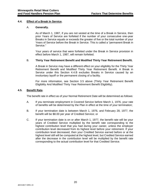#### <span id="page-28-1"></span><span id="page-28-0"></span>**4.4. Effect of a Break In Service.**

#### A. **Generally.**

As of March 1, 1987, if you are not vested at the time of a Break in Service, then prior Years of Service are forfeited if the number of your consecutive one-year Breaks in Service equals or exceeds the greater of five or the total number of your Years of Service before the Break in Service. This is called a "permanent Break in Service."

Your years of service that were forfeited under the Break in Service provision in effect before March 1, 1987, will remain forfeited.

#### <span id="page-28-2"></span>B. **Thirty Year Retirement Benefit and Modified Thirty Year Retirement Benefit.**

A Break in Service may have a different effect on your eligibility for the Thirty Year Retirement Benefit and Modified Thirty Year Retirement Benefit. A Break in Service under this Section [4.4.B](#page-28-2) excludes Breaks in Service caused by an involuntary layoff or the permanent closing of a facility.

For more information, see Section [3.5 above](#page-20-0) [\(Thirty Year Retirement Benefit](#page-20-0)  [Eligibility And Modified Thirty Year Retirement](#page-20-0) Benefit Eligibility).

#### <span id="page-28-3"></span>**4.5. Benefit Rate.**

The benefit rate in effect as of your Normal Retirement Date will be determined as follows:

- A. If you terminate employment in Covered Service before March 1, 1976, your rate of benefits will be determined by the Plan in effect at the time of your termination;
- B. If your termination date is between March 1, 1976, and February 28, 1977, the benefit will be \$8.00 per year of Credited Service; or
- C. If your termination date is on or after March 1, 1977, the benefit rate will be your years of Credited Service multiplied by the benefit rate corresponding to the highest contribution level that you had during your career, unless the employer contribution level decreased from its highest level before your retirement. If your contribution level decreased, then your Credited Service earned before or at the highest level still will be computed at the highest level, but Credited Service earned after the decrease in the contribution level will be multiplied by the benefit rate corresponding to the actual contribution level for that Credited Service.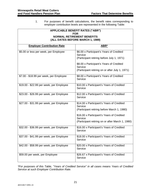1. For purposes of benefit calculations, the benefit rates corresponding to employer contribution levels are represented in the following Table:

| <b>APPLICABLE BENEFIT RATES ("ABR")</b>         |                                                                                                          |  |  |  |
|-------------------------------------------------|----------------------------------------------------------------------------------------------------------|--|--|--|
| <b>FOR</b><br><b>NORMAL RETIREMENT BENEFITS</b> |                                                                                                          |  |  |  |
|                                                 | (ALL DATES BEFORE MARCH 1, 1989)                                                                         |  |  |  |
| <b>Employer Contribution Rate</b>               | ABR*                                                                                                     |  |  |  |
| \$5.00 or less per week, per Employee           | \$6.00 x Participant's Years of Credited<br>Service<br>(Participant retiring before July 1, 1971)        |  |  |  |
|                                                 | \$8.00 x Participant's Years of Credited<br>Service<br>(Participant retiring on or after July 1, 1971)   |  |  |  |
| \$7.00 - \$18.99 per week, per Employee         | \$8.00 x Participant's Years of Credited<br>Service                                                      |  |  |  |
| \$19.00 - \$22.99 per week, per Employee        | \$10.00 x Participant's Years of Credited<br>Service                                                     |  |  |  |
| \$23.00 - \$26.99 per week, per Employee        | \$12.00 x Participant's Years of Credited<br>Service                                                     |  |  |  |
| \$27.00 - \$31.99 per week, per Employee        | \$14.00 x Participant's Years of Credited<br>Service<br>(Participant retiring before March 1, 1980)      |  |  |  |
|                                                 | \$16.00 x Participant's Years of Credited<br>Service<br>(Participant retiring on or after March 1, 1980) |  |  |  |
| \$32.00 - \$36.99 per week, per Employee        | \$16.00 x Participant's Years of Credited<br>Service                                                     |  |  |  |
| \$37.00 - \$41.99 per week, per Employee        | \$18.00 x Participant's Years of Credited<br>Service                                                     |  |  |  |
| \$42.00 - \$58.99 per week, per Employee        | \$20.00 x Participant's Years of Credited<br>Service                                                     |  |  |  |
| \$59.00 per week, per Employee                  | \$26.67 x Participant's Years of Credited<br>Service                                                     |  |  |  |

*\*For purposes of this Table, "Years of Credited Service" in all cases means Years of Credited Service at such Employer Contribution Rate.*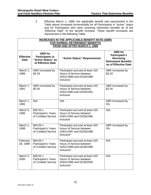2. Effective March 1, 1989, the applicable benefit rate represented in the Table above increased incrementally for all Participants in "active" status and for Participants who were receiving retirement benefits as of the "Effective Date" of the benefit increase. These benefit increases are represented in the following Table:

| INCREASES IN THE APPLICABLE BENEFIT RATE (ABR)<br>FOR NORMAL RETIREMENT BENEFITS<br><b>FROM AND AFTER MARCH 1, 1989</b> |                                                                                                           |                                                                                                                     |                            |
|-------------------------------------------------------------------------------------------------------------------------|-----------------------------------------------------------------------------------------------------------|---------------------------------------------------------------------------------------------------------------------|----------------------------|
| <b>Effective</b><br><b>Date</b>                                                                                         | <b>ABR</b> for<br>Participant's<br><b>Receiving</b><br><b>Retirement Benefits</b><br>as of Effective Date |                                                                                                                     |                            |
| March 1,<br>1989                                                                                                        | ABR Increased by<br>\$3.33                                                                                | Participant accrued at least 425<br>Hours of Service between<br>03/01/1988 and 02/28/1989<br>inclusive              | ABR Increased by<br>\$3.33 |
| March 1,<br>1991                                                                                                        | ABR Increased by<br>\$2.00                                                                                | Participant accrued at least 425<br>Hours of Service between<br>03/01/1990 and 02/28/1991<br>inclusive              | ABR Increased by<br>\$2.00 |
| March 1,<br>1995                                                                                                        | N/A                                                                                                       | N/A                                                                                                                 | ABR Increased by<br>5%     |
| March 5,<br>1995                                                                                                        | \$35.00 x<br><b>Participant's Years</b><br>of Credited Service                                            | Participant accrued at least 425<br>Hours of Service between<br>03/01/1994 and 02/28/1995<br>inclusive              | N/A                        |
| March 1,<br>1998                                                                                                        | $$40.00 \times$<br><b>Participant's Years</b><br>of Credited Service                                      | Participant accrued at least 425<br>Hours of Service between<br>03/01/1997 and 02/28/1998<br>inclusive*             | ABR Increased by<br>3%     |
| February<br>28, 1999                                                                                                    | \$44.00 x<br>Participant's Years<br>of Credited Service                                                   | Participant accrued at least 425<br>Hours of Service between<br>03/01/1998 and 02/28/1999<br>inclusive <sup>*</sup> | N/A                        |
| March 5,<br>2000                                                                                                        | \$48.00 x<br>Participant's Years<br>of Credited Service                                                   | Participant accrued at least 425<br>Hours of Service between<br>03/01/1999 and 02/28/2000<br>inclusive*             | N/A                        |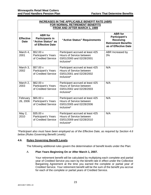| <b>INCREASES IN THE APPLICABLE BENEFIT RATE (ABR)</b><br>FOR NORMAL RETIREMENT BENEFITS<br><b>FROM AND AFTER MARCH 1, 1989</b> |                                                                                                           |                                                                                                         |                        |
|--------------------------------------------------------------------------------------------------------------------------------|-----------------------------------------------------------------------------------------------------------|---------------------------------------------------------------------------------------------------------|------------------------|
| <b>Effective</b><br><b>Date</b>                                                                                                | <b>ABR</b> for<br>Participant's<br><b>Receiving</b><br><b>Retirement Benefits</b><br>as of Effective Date |                                                                                                         |                        |
| March 4,<br>2001                                                                                                               | \$52.00 x<br><b>Participant's Years</b><br>of Credited Service                                            | Participant accrued at least 425<br>Hours of Service between<br>03/01/2000 and 02/28/2001<br>inclusive* | ABR Increased by<br>3% |
| March 3,<br>2002                                                                                                               | \$57.00 x<br>Participant's Years<br>of Credited Service                                                   | Participant accrued at least 425<br>Hours of Service between<br>03/01/2001 and 02/28/2002<br>inclusive* | N/A                    |
| March 2,<br>2003                                                                                                               | $$62.00 \times$<br><b>Participant's Years</b><br>of Credited Service                                      | Participant accrued at least 425<br>Hours of Service between<br>03/01/2002 and 02/28/2003<br>inclusive* | N/A                    |
| February<br>26, 2006                                                                                                           | \$65.00 x<br>Participant's Years<br>of Credited Service                                                   | Participant accrued at least 425<br>Hours of Service between<br>03/01/2005 and 02/28/2006<br>inclusive* | N/A                    |
| May 2,<br>2010                                                                                                                 | \$35.00 x<br>Participant's Years<br>of Credited Service                                                   | Participant accrued at least 425<br>Hours of Service between<br>03/01/2009 and 02/28/2010<br>inclusive* | N/A                    |

*\*Participant also must have been employed as of the Effective Date, as required by Section [4.6](#page-31-0)  [below](#page-31-0) [\(Rules Governing Benefit Levels\)](#page-31-0).*

#### <span id="page-31-0"></span>**4.6. Rules Governing Benefit Levels.**

The following additional rules govern the determination of benefit levels under the Plan:

#### <span id="page-31-1"></span>A. **Plan Years Beginning On or After March 1, 2007.**

Your retirement benefit will be calculated by multiplying each complete and partial year of Credited Service you earn by the benefit rate in effect under the Collective Bargaining Agreement at the time you earned the complete or partial year of Credited Service. Your retirement benefit will be the sum of the benefit you accrue for each of the complete or partial years of Credited Service.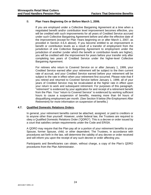#### B. **Plan Years Beginning On or Before March 1, 2006.**

If you are employed under a Collective Bargaining Agreement at a time when a negotiated benefit and/or contribution level improvement becomes effective, you will be credited with such improvements for all years of Credited Service accrued under such Collective Bargaining Agreement before and after the effective date of the improvement (except for Plan Years beginning on or after March 1, 2007, as provided in Section [4.6.A above\)](#page-31-1). If you become entitled to an improvement in benefit or contribution levels as a result of a transfer of employment from the jurisdiction of one Collective Bargaining Agreement to employment under the jurisdiction of another (under which the benefit or contribution levels are higher), you will be credited with the improvement for years before your transfer only after completing two years of Credited Service under the higher-level Collective Bargaining Agreement.

For retirees who return to Covered Service on or after January 1, 1999, your Credited Service earned after your retirement will be subject to the then current rate of accrual, and your Credited Service earned before your retirement will be subject to the rate in effect when your retirement first occurred. Please note that if you retired and returned to Covered Service before January 1, 1999, all of your years of Credited Service may be recalculated at the higher rate in effect upon your return to work and subsequent retirement. For purposes of this paragraph, "retirement" is evidenced by your application for and receipt of a retirement benefit from the Plan. Your "return to Covered Service" is evidenced by working sufficient hours to cause a suspension of benefits, meaning more than 64 hours of disqualifying employment per month. (See [Section 9 below](#page-43-0) [\(Re-Employment After](#page-43-0)  [Retirement\)](#page-43-0) for more information on suspension of benefits.)

#### **4.7. Qualified Domestic Relations Orders.**

In general, your retirement benefits cannot be attached, assigned, or paid to creditors or to anyone other than yourself. However, under federal law, the Trustees are required to obey a Qualified Domestic Relations Order ("QDRO"). This is a decree or order issued by a court that satisfies certain requirements under the Code and ERISA.

A QDRO may require that the Plan pay all or a portion of your retirement benefits to your Spouse, former Spouse, child, or other dependent. The Trustees, in accordance with procedures set forth in the law, will determine the validity of any decree or order received and will inform you upon the receipt of any such decree or order affecting you.

Participants and Beneficiaries can obtain, without charge, a copy of the Plan's QDRO procedures from the Plan Administrator.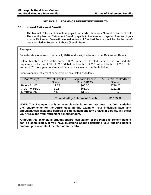#### **SECTION 5 FORMS OF RETIREMENT BENEFITS**

#### <span id="page-33-1"></span><span id="page-33-0"></span>**5.1. Normal Retirement Benefit.**

The Normal Retirement Benefit is payable no earlier than your Normal Retirement Date. The monthly Normal Retirement Benefit payable in the standard payment form as of your Normal Retirement Date will be equal to years of Credited Service multiplied by the benefit rate specified in Section [4.5 above](#page-28-3) [\(Benefit Rate\)](#page-28-3).

#### **Example:**

John decides to retire on January 1, 2016, and is eligible for a Normal Retirement Benefit.

Before March 1, 2007, John earned 12.25 years of Credited Service and satisfied the requirements for the ABR of \$65.00 before March 1, 2007. After March 1, 2007, John earned 7.75 more years of Credited Service, as shown in the Table below.

John's monthly retirement benefit will be calculated as follows:

| Plan Year(s)     | Yrs. of Credited | <b>Applicable Benefit</b> | ABR x Yrs. of Credited |  |
|------------------|------------------|---------------------------|------------------------|--|
|                  | Service          | Rate ("ABR")              | Service                |  |
| Before 3/1/07    | 12.25            | \$65.00                   | \$796.25               |  |
| 3/1/07 to 5/1/10 | 3.25             | \$65.00                   | \$211.25               |  |
| 5/2/10 to 1/1/16 | 4.50             | \$35.00                   | \$157.50               |  |
|                  |                  |                           |                        |  |
|                  | \$1,165.00       |                           |                        |  |

**NOTE: This Example is only an example calculation and assumes that John satisfied the requirements for the ABRs used in this example. Your individual facts and circumstances, including periods of employment and any Breaks in Service, will affect your ABRs and your retirement benefit amount.**

**Although this example is straightforward, calculation of the Plan's retirement benefit can be complicated. If you have questions about calculating your specific benefit amount, please contact the Plan Administrator.**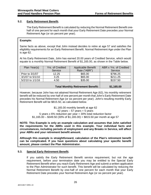#### <span id="page-34-0"></span>**5.2. Early Retirement Benefit.**

The Early Retirement Benefit is calculated by reducing the Normal Retirement Benefit onehalf of one percent for each month that your Early Retirement Date precedes your Normal Retirement Age (or six percent per year).

#### **Example:**

Same facts as above, except that John instead decides to retire at age 57 and satisfies the eligibility requirements for an Early Retirement Benefit. Normal Retirement Age under the Plan is age 62.

At his Early Retirement Date, John has earned 20.00 years of Credited Service, which would equate to a monthly Normal Retirement Benefit of \$1,165.00, as shown in the Table below.

| Plan Year(s)     | Yrs. of Credited                         | <b>Applicable Benefit</b> | ABR x Yrs. of Credited |
|------------------|------------------------------------------|---------------------------|------------------------|
|                  | Service                                  | Rate ("ABR")              | Service                |
| Prior to 3/1/07  | 12.25                                    | \$65.00                   | \$796.25               |
| 3/1/07 to 5/1/10 | 3.25                                     | \$65.00                   | \$211.25               |
| 5/2/10 to 1/1/16 | 4.50                                     | \$35.00                   | \$157.50               |
|                  |                                          |                           |                        |
|                  | <b>Total Monthly Retirement Benefit:</b> |                           |                        |

However, because John has not attained Normal Retirement Age (62), his monthly retirement benefit will be reduced by one-half of one percent per month that John's Early Retirement Date precedes his Normal Retirement Age (or six percent per year). John's resulting monthly Early Retirement Benefit will be \$815.50, as calculated below.

> \$1,165.00 monthly benefit at age 62  $62$  years  $-57$  years = 5 years 5 years x 6% reduction per year = 30% total reduction factor  $$1,165.00 - $349.50$  (30% of  $$1,165.00$ ) = \$815.50 per month at age 57

**NOTE: This Example is only an example calculation and assumes that John satisfied the requirements for the ABRs used in this example. Your individual facts and circumstances, including periods of employment and any Breaks in Service, will affect your ABRs and your retirement benefit amount.**

**Although this example is straightforward, calculation of the Plan's retirement benefit can be complicated. If you have questions about calculating your specific benefit amount, please contact the Plan Administrator.**

#### <span id="page-34-1"></span>**5.3. Special Early Retirement Benefit.**

If you satisfy the Early Retirement Benefit service requirement, but not the age requirement, before your termination date you may be entitled to the Special Early Retirement Benefit when you reach Early Retirement Age and submit a written application to the Plan Administrator for such benefit. This benefit will be calculated by reducing the Normal Retirement Benefit by one-half of one percent for each month that your Early Retirement Date precedes your Normal Retirement Age (or six percent per year).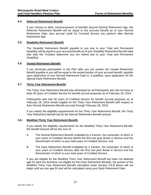#### **5.4. Deferred Retirement Benefit.**

If you choose to defer commencement of benefits beyond Normal Retirement Age, the Deferred Retirement Benefit will be equal to the accrued benefit as of your Normal Retirement Date, plus accrual credit for Covered Service you perform after Normal Retirement Age.

#### <span id="page-35-0"></span>**5.5. Disability Retirement Benefit.**

The Disability Retirement Benefit payable to you due to your Total and Permanent Disability will be equal to your accrued benefit as of your Disability Retirement Benefit date (the date the Trustees determine you are retired due to your Total and Permanent Disability).

#### <span id="page-35-3"></span>**5.6. Vested Retirement Benefit.**

If you terminate participation in the Plan after you are vested, the Vested Retirement Benefit payable to you will be equal to the vested portion of your accrued benefit, payable upon attainment of your Normal Retirement Date or, if qualified, upon application for the Special Early Retirement Benefit.

#### <span id="page-35-2"></span>**5.7. Thirty Year Retirement Benefit.**

The Thirty Year Retirement Benefit was eliminated for all Participants who did not have at least 30 years of Credited Service for benefit accrual purposes as of February 28, 2019.

Participants who had 30 years of Credited Service for benefit accrual purposes as of February 28, 2019 remain eligible for the Thirty Year Retirement Benefit with respect to their Normal Retirement Benefit accrued through February 28, 2019.

If you satisfy the eligibility requirements for the Thirty Year Retirement Benefit, the Thirty Year Retirement Benefit will be the Normal Retirement Benefit amount.

#### <span id="page-35-1"></span>**5.8. Modified Thirty Year Retirement Benefit.**

If you satisfy the eligibility requirements for the Modified Thirty Year Retirement Benefit, the benefit amount will be the sum of:

- A. The Normal Retirement Benefit multiplied by a fraction, the numerator of which is your years of Credited Service before the first one-year Break in Service and the denominator of which is your total years of Credited Service; and
- <span id="page-35-4"></span>B. The Early Retirement Benefit multiplied by a fraction, the numerator of which is your years of Credited Service after the first one-year Break in Service and the denominator of which is your total years of Credited Service.

If you are eligible for the Modified Thirty Year Retirement Benefit but have not attained age 52 (and are therefore not eligible for the Early Retirement Benefit), the portion of the Modified Thirty Year Retirement Benefit calculated under Section [5.8.B above](#page-35-4) will not begin until you are age 52 and will be calculated using your Early Retirement Date.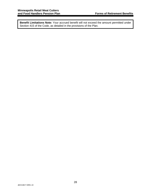**Benefit Limitations Note:** Your accrued benefit will not exceed the amount permitted under Section 415 of the Code, as detailed in the provisions of the Plan.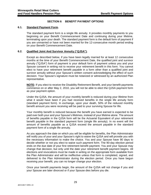#### **SECTION 6 BENEFIT PAYMENT OPTIONS**

#### **6.1. Standard Payment Form.**

The standard payment form is a single life annuity. It provides monthly payments to you beginning on your Benefit Commencement Date and continuing during your lifetime, terminating upon your death. The standard payment form is the default form of payment if you are unmarried or have not been married for the 12-consecutive month period ending on your Benefit Commencement Date.

#### <span id="page-37-0"></span>**6.2. Qualified Joint And Survivor Annuity ("QJSA").**

Except as described below, if you have been legally married for at least 12 consecutive months at the time of your Benefit Commencement Date, the qualified joint and survivor annuity ("QJSA") form of payment is your default form of payment unless you and your Spouse consent in writing not to receive your retirement benefit in this form. You cannot elect to have your retirement benefit payable in a form other than a qualified joint and survivor annuity without your Spouse's written consent acknowledging the effect of such decision. Your Spouse's signature must be notarized or witnessed by an authorized Plan representative.

**NOTE:** If you elect to receive the Disability Retirement Benefit, and your benefit payments commence on or after May 2, 2010, you will not be able to elect the QJSA payment form as your payment option.

Under the QJSA, the amount of your monthly benefit is reduced during your lifetime from what it would have been if you had received benefits in the single life annuity form (standard payment form). In exchange, upon your death, 50% of the reduced monthly benefit amount you were receiving will be paid to your surviving Spouse for life.

Your monthly benefit is reduced because the benefit you have earned is expected to be paid over both your and your Spouse's lifetimes, instead of your lifetime alone. The amount of benefits payable in the QJSA form will be the Actuarial Equivalent of your retirement benefit payable in the standard payment form (single life annuity). In no event will the amount of benefits payable as a QJSA exceed the amount payable in the standard payment form of a single life annuity.

As you approach the date on which you will be eligible for benefits, the Plan Administrator will notify you of your and your Spouse's right to waive the QJSA and will provide you with the necessary information to make the choice. You and your Spouse have 90 days to decide whether or not you elect to waive such payment form. The 90-day election period ends on the due date of your first retirement benefit payment. You and your Spouse may change that decision, but only until the date your retirement benefit payment begins. All elections and revocations must be made in writing on the appropriate form available from the Plan Administrator and will be ineffective unless that form is completed, signed, and delivered to the Plan Administrator during the election period. Once you have begun receiving your benefit, you can no longer change your election.

Once your benefit payments begin, the amount of the QJSA will not change if you and your Spouse are later divorced or if your Spouse dies before you die.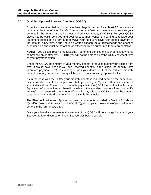#### **6.3. Qualified Optional Survivor Annuity ("QOSA").**

Except as described below, if you have been legally married for at least 12 consecutive months at the time of your Benefit Commencement Date, you may elect to receive your benefits in the form of a qualified optional survivor annuity ("QOSA"). For your QOSA election to be valid, both you and your Spouse must consent in writing to receive your retirement benefit in this form and to waive your right to receive your benefit payment in the default QJSA form. Your Spouse's written consent must acknowledge the effect of such decision and must be notarized or witnessed by an authorized Plan representative.

**NOTE:** If you elect to receive the Disability Retirement Benefit, and your benefit payments commence on or after May 2, 2010, you will not be able to elect the QOSA payment form as your payment option.

Under the QOSA, the amount of your monthly benefit is reduced during your lifetime from what it would have been if you had received benefits in the single life annuity form (standard payment form). In exchange, upon your death, 75% of the reduced monthly benefit amount you were receiving will be paid to your surviving Spouse for life.

As in the case with the QJSA, your monthly benefit is reduced because the benefit you have earned is expected to be paid over both your and your Spouse's lifetimes, instead of your lifetime alone. The amount of benefits payable in the QOSA form will be the Actuarial Equivalent of your retirement benefit payable in the standard payment form (single life annuity). In no event will the amount of benefits payable as a QOSA exceed the amount payable in the standard payment form of a single life annuity.

The Plan notification and Spousal consent requirements provided in Section [6.2 above](#page-37-0) (Qualified Joint and Survivor Annuity ("QJSA")) also apply to the election of your retirement benefit in the form of a QOSA.

Once your benefits commence, the amount of the QOSA will not change if you and your Spouse are later divorced or if your Spouse dies before you die.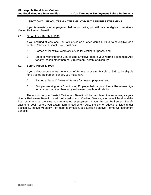#### **SECTION 7 IF YOU TERMINATE EMPLOYMENT BEFORE RETIREMENT**

If you terminate your employment before you retire, you still may be eligible to receive a Vested Retirement Benefit.

#### **7.1. On or After March 1, 1998.**

If you accrued at least one Hour of Service on or after March 1, 1998, to be eligible for a Vested Retirement Benefit, you must have:

- A. Earned at least five Years of Service for vesting purposes; and
- B. Stopped working for a Contributing Employer before your Normal Retirement Age for any reason other than early retirement, death, or disability.

#### **7.2. Before March 1, 1998.**

If you did not accrue at least one Hour of Service on or after March 1, 1998, to be eligible for a Vested Retirement benefit, you must have:

- A. Earned at least 10 Years of Service for vesting purposes; and
- B. Stopped working for a Contributing Employer before your Normal Retirement Age for any reason other than early retirement, death, or disability.

The amount of your Vested Retirement Benefit will be calculated the same way as your Normal Retirement Benefit, but will be based on your Credited Service, your benefit level, and the Plan provisions at the time you terminated employment. If your Vested Retirement Benefit payments begin before you attain Normal Retirement Age, the same reductions listed under Section [5.3 above](#page-34-1) will apply. For more information, see [Section 5 above](#page-33-1) [\(Forms Of Retirement](#page-33-1)  [Benefits\)](#page-33-1).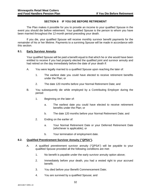#### **SECTION 8 IF YOU DIE BEFORE RETIREMENT**

The Plan makes it possible for you to provide an income to your qualified Spouse in the event you should die before retirement. Your qualified Spouse is the person to whom you have been married throughout the 12-month period preceding your death.

If you die, your qualified Spouse will receive monthly survivor benefit payments for the remainder of his or her lifetime. Payments to a surviving Spouse will be made in accordance with this section.

#### **8.1. Early Survivor Annuity.**

Your qualified Spouse will be paid a benefit equal to that which he or she would have been entitled to receive if you had properly elected the qualified joint and survivor annuity and had retired on the day immediately before the date of your death if:

- A. You were legally married to a qualified Spouse upon reaching the later of:
	- 1. The earliest date you could have elected to receive retirement benefits under the Plan; or
	- 2. The date 120 months before your Normal Retirement Date; and
- B. You subsequently die while employed by a Contributing Employer during the period:
	- 1. Beginning on the later of:
		- a. The earliest date you could have elected to receive retirement benefits under the Plan; or
		- b. The date 120 months before your Normal Retirement Date; and
	- 2. Ending on the earlier of:
		- a. Your Normal Retirement Date or your Deferred Retirement Date (whichever is applicable); or
		- b. Your termination of employment date.

#### **8.2. Qualified Preretirement Survivor Annuity ("QPSA").**

- A. A qualified preretirement survivor annuity ("QPSA") will be payable to your qualified Spouse provided all the following conditions are met:
	- 1. No benefit is payable under the early survivor annuity option above;
	- 2. Immediately before your death, you had a vested right to your accrued benefit;
	- 3. You died before your Benefit Commencement Date;
	- 4. You are survived by a qualified Spouse; and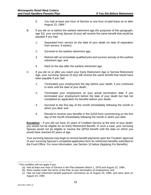- 5. You had at least one Hour of Service or one hour of paid leave on or after August 23, [1](#page-41-0)984.<sup>1</sup>
- B. If you die on or before the earliest retirement age (for purposes of this paragraph, age 52), your surviving Spouse (if any) will receive the same benefit that would be payable if you had:
	- 1. Separated from service on the date of your death (or date of separation from service, if earlier);
	- 2. Survived to the earliest retirement age;
	- 3. Retired with an immediate qualified joint and survivor annuity at the earliest retirement age; and
	- 4. Died on the day after the earliest retirement age.
- C. If you die on or after you reach your Early Retirement Age or Normal Retirement Age, your surviving Spouse (if any) will receive the same benefit that would have been payable if you had:
	- 1. Terminated your employment the day before your death, if you continued to work until the date of your death;
	- 2. Terminated your employment on your actual termination date, if you terminated your employment before the date of your death but had not completed an application for benefits before your death;
	- 3. Survived to the first day of the month immediately following the month in which you died; and
	- 4. Elected to receive your benefits in the QJSA form commencing on the first day of the month immediately following the month in which you died.

**Exception** – If you did not have 15 years of Credited Service at the time of your death, you would not be eligible for an Early Retirement Benefit. In such a case, your surviving Spouse would not be eligible to receive the QPSA benefit until the date on which you would have reached 62 years of age.

Your surviving Spouse may begin to receive benefit payments upon the Trustees' approval of your surviving Spouse's completed application form for retirement benefits submitted to the Fund Office. For more information, see [Section 10 below](#page-48-0) [\(Applying For Benefits\)](#page-48-0).

<span id="page-41-0"></span> $\overline{a}$ *<sup>1</sup>* This condition will not apply if you:

<sup>(</sup>a) Had at least one Hour of Service in the Plan between March 1, 1976 and August 22, 1984;

<sup>(</sup>b) Were vested under the terms of the Plan at your termination of employment; and

<sup>(</sup>c) Had not had retirement benefit payments commence as of August 23, 1984, and were alive on August 23, 1984.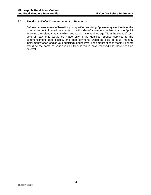#### **8.3. Election to Defer Commencement of Payments.**

Before commencement of benefits, your qualified surviving Spouse may elect to defer the commencement of benefit payments to the first day of any month not later than the April 1 following the calendar year in which you would have attained age 72. In the event of such deferral, payments would be made only if the qualified Spouse survives to the commencement date elected, and then payments would be paid in equal monthly installments for as long as your qualified Spouse lives. The amount of each monthly benefit would be the same as your qualified Spouse would have received had there been no deferral.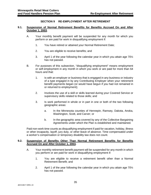#### **SECTION 9 RE-EMPLOYMENT AFTER RETIREMENT**

#### <span id="page-43-0"></span>**9.1. Suspension of Normal Retirement Benefits for Benefits Accrued On and After October 1, 2003.**

- A. Your monthly benefit payment will be suspended for any month for which you perform or are paid for work in disqualifying employment if:
	- 1. You have retired or attained your Normal Retirement Date;
	- 2. You are eligible to receive benefits; and
	- 3. April 1 of the year following the calendar year in which you attain age 70½ has not passed.
- B. For purposes of this subsection, "disqualifying employment" means employment or self-employment in any month in which you work or are paid for more than 64 hours and that:
	- 1. Is with an employer or business that is engaged in any business or industry of a type engaged in by any Contributing Employer when your retirement benefit payments began (or would have begun if you had not remained in or returned to employment);
	- 2. Involves the use of a skill or skills learned during your Covered Service or supervisory skills related to those skills; and
	- 3. Is work performed in whole or in part in one or both of the two following geographic areas:
		- a. In the Minnesota counties of Hennepin, Ramsey, Dakota, Anoka, Washington, Scott, and Carver; or
		- b. In the geographic area covered by any of the Collective Bargaining Agreements under which the Plan is established and maintained.

Paid non-work time counts as disqualifying employment if paid for vacation, holiday, illness or other incapacity, layoff, jury duty, or other leave of absence. Time compensated under a worker's compensation or temporary disability law does not count.

#### **9.2. Suspension of Benefits Other Than Normal Retirement Benefits for Benefits Accrued On and After October 1, 2003.**

- A. Your monthly retirement benefit payment will be suspended for any month in which you perform or are paid for work in disqualifying employment if:
	- 1. You are eligible to receive a retirement benefit other than a Normal Retirement Benefit; and
	- 2. April 1 of the year following the calendar year in which you attain age  $70\frac{1}{2}$ has not passed.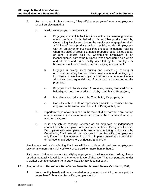- <span id="page-44-0"></span>B. For purposes of this subsection, "disqualifying employment" means employment or self-employment that:
	- 1. Is with an employer or business that:
		- a. Engages, at any of its facilities, in sales to consumers of groceries, meats, prepared foods, baked goods, or other products sold by Contributing Employers whether the employer is engaged in selling a full line of these products or is a specialty retailer. Employment with an employer or business that engages in general retailing where the sales of groceries, meats, prepared foods, baked goods, or other products sold by Contributing Employers is an inconsequential part of the business, when considered as a whole and at each and every facility operated by the employer or business, is not considered to be disqualifying employment;
		- b. Engages in baking, meat cutting and processing, cooking or otherwise preparing food items for consumption, and packaging of food items, unless the employer or business is a restaurant where all but an inconsequential part of its product is consumed on the premises;
		- c. Engages in wholesale sales of groceries, meats, prepared foods, baked goods, or other products sold by Contributing Employers;
		- d. Manufactures products sold by Contributing Employers; or
		- e. Consults with or sells or represents products or services to any employer or business described in this Paragraph [1;](#page-44-0) and
	- 2. Is performed, in whole or in part, in the state of Minnesota or in any portion of a metropolitan statistical area located in part in Minnesota and in part in another state; and
	- 3. Is in any job or capacity, whether as an employee or independent contractor, with an employer or business described in Paragraph [1 above.](#page-44-0) Employment with an employer or business manufacturing products sold by Contributing Employers will be considered to be disqualifying employment only if your position involves, in whole or in part, consulting with or selling or representing products to Contributing Employers.

Employment with a Contributing Employer will be considered disqualifying employment only for any month in which you work or are paid for more than 64 hours.

Paid non-work time counts as disqualifying employment if paid for vacation, holiday, illness or other incapacity, layoff, jury duty, or other leave of absence. Time compensated under a worker's compensation or temporary disability law does not count.

#### **9.3. Suspension of Retirement Benefits for Benefits Accrued Before October 1, 2003.**

A. Your monthly benefit will be suspended for any month for which you were paid for more than 64 hours in disqualifying employment if: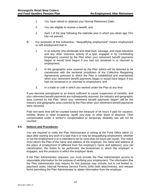- 1. You have retired or attained your Normal Retirement Date;
- 2. You are eligible to receive a benefit; and
- 3. April 1 of the year following the calendar year in which you attain age  $70\%$ has not passed.
- B. For purposes of this subsection, "disqualifying employment" means employment or self-employment that is:
	- 1. In an industry (the wholesale and retail food, sausage, and meat industries and any other business activity of a type engaged in by Contributing Employers) covered by the Plan when your retirement benefit payments began or would have begun if you had not remained in or returned to employment;
	- 2. In the geographic area covered by the Plan (which will be deemed to be coextensive with the territorial jurisdiction of the Collective Bargaining Agreements pursuant to which the Plan is established and maintained) when your retirement benefit payments began or would have begun if you had not remained in or returned to employment; and
	- 3. In a trade or craft in which you worked under the Plan at any time.

If you become reemployed to an extent sufficient to cause suspension of benefits, and your retirement benefit payments are subsequently resumed, the industry and geographic area covered by the Plan "when your retirement benefit payments began" will be the industry and geographic area covered by the Plan when your retirement benefit payments were resumed.

Paid non-work time will be counted toward the measure of 64 hours if paid for vacation, holiday, illness or other incapacity, layoff, jury duty, or other leave of absence. Time compensated under a worker's compensation or temporary disability law will not be counted.

#### **9.4. Notices and Procedures.**

You are required to notify the Plan Administrator in writing at the Fund Office within 21 days after starting any work of a type that is or may be disqualifying employment, whether or not the employment is or is intended to be for more than 64 hours per month. The notice must inform the Plan of the name and address of the employer, the name and address of the place of employment (if different from the employer's name and address), your job classification, the duties to be performed, the businesses in which the employer is engaged, and the products in which the employer deals.

If the Plan Administrator requests, you must provide the Plan Administrator access to reasonable information for the purpose of verifying your employment. The information that the Plan Administrator may require for this purpose may include, but is not limited to, paycheck stubs, Internal Revenue Service Forms 1040 (with attachments), and release forms permitting the Plan Administrator to obtain information from the employer.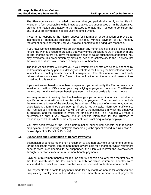The Plan Administrator is entitled to request that you periodically certify to the Plan in writing on a form acceptable to the Trustees that you are unemployed or, in the alternative, provide information satisfactory to the Trustees to enable the Trustees to conclude that any of your employment is not disqualifying employment.

If you fail to respond to the Plan's request for information or certification or provide an incomplete or inadequate response, the Plan may withhold payment of your monthly retirement benefit payments until you provide a complete and adequate response.

If you have worked in disqualifying employment in any month and have failed to give timely notice, the Plan is entitled to presume that you worked sufficient hours in that month and all later months before you gave the required notice to cause suspension of benefits. You may overcome this presumption by providing evidence satisfactory to the Trustees that the work should not have resulted in suspension of benefits.

The Plan Administrator will inform you if your retirement benefits are being suspended by written notice given by personal delivery or first-class mail during the first calendar month in which your monthly benefit payment is suspended. The Plan Administrator will notify retirees at least once each Plan Year of the notification requirements and presumptions contained in this section.

If your retirement benefits have been suspended, you must notify the Plan Administrator in writing at the Fund Office when your disqualifying employment has ended. The Plan will not resume monthly retirement benefit payments until you provide this written notice.

You may request, in writing, that the Trustees give you a determination as to whether a specific job or work will constitute disqualifying employment. Your request must include the name and address of the employer, the address of the place of employment, your job classification, a formal job description (or if one is not available, information sufficient to the Trustees outlining the duties you will perform), the businesses in which the employer is engaged, and the products in which the employer deals. The Trustees will make a determination only if you provide enough specific information for the Trustees to reasonably conclude whether the employment is or is not disqualifying employment.

You may seek review of the Plan's determination suspending benefits or that certain employment is disqualifying employment according to the appeal procedures in [Section](#page-52-0) 12 [below](#page-52-0) [\(Appeal Of Denial Of Benefits\)](#page-52-0).

#### **9.5. Suspension and Resumption of Benefit Payments.**

Suspension of benefits means non-entitlement to and non-payment of retirement benefits for the applicable month. If retirement benefits were paid for a month for which retirement benefits were later deemed to be suspended, the Plan will recover the overpayment through deductions from future retirement benefit payments.

Payment of retirement benefits will resume after suspension no later than the first day of the third month after the last calendar month for which retirement benefits were suspended, but only if you have complied with the specified notification requirements.

Overpayments attributable to payments made for any month or months for which you had disqualifying employment will be deducted from monthly retirement benefit payments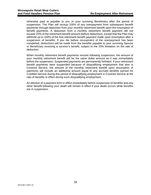otherwise paid or payable to you or your surviving Beneficiary after the period of suspension. The Plan will recoup 100% of any overpayment from subsequent benefit payments through deduction from your monthly retirement benefit upon the resumption of benefit payments. A deduction from a monthly retirement benefit payment will not exceed 25% of the retirement benefit amount (before deduction), except that the Plan may withhold up to 100% of the first retirement benefit payment made upon resumption after a suspension of benefits. If you die before recoupment of the overpayment has been completed, deductions will be made from the benefits payable to your surviving Spouse or Beneficiary receiving a survivor's benefit, subject to the 25% limitation on the rate of deduction.

When monthly retirement benefit payments resume following suspension, the amount of your monthly retirement benefit will be the same dollar amount as it was immediately before the suspension. Suspended payments are permanently forfeited. If your retirement benefit payments were suspended because of disqualifying employment that also is Covered Service, the amount of the monthly retirement benefit upon resumption of payments will include an additional amount equal to any accrued benefits earned for Credited Service during this period of disqualifying employment in Covered Service at the rate of benefits in effect during such disqualifying employment.

An election of a payment form in effect immediately before suspension of benefits and any other benefit following your death will remain in effect if your death occurs while benefits are in suspension.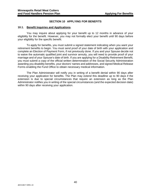#### **SECTION 10 APPLYING FOR BENEFITS**

#### <span id="page-48-0"></span>**10.1. Benefit Inquiries and Applications.**

You may inquire about applying for your benefit up to 12 months in advance of your eligibility for the benefit. However, you may not formally elect your benefit until 90 days before your eligibility for the specific benefit.

To apply for benefits, you must submit a signed statement indicating when you want your retirement benefits to begin. You must send proof of your date of birth with your application and complete an Election of Payment Form, if not previously done. If you and your Spouse decide not to waive the automatic qualified joint and survivor annuity, you will need to provide proof of your marriage and of your Spouse's date of birth. If you are applying for a Disability Retirement Benefit, you must submit a copy of the official written determination of the Social Security Administration awarding you disability benefits, your doctors' names and addresses, and signed Medical Release Forms enabling the Fund Office to obtain necessary medical information.

The Plan Administrator will notify you in writing of a benefit denial within 90 days after receiving your application for benefits. The Plan may extend this deadline up to 90 days if the extension is due to special circumstances that require an extension as long as the Plan Administrator notifies you in writing of the special circumstances (and the expected decision date) within 90 days after receiving your application.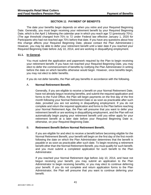#### **SECTION 11 PAYMENT OF BENEFITS**

The date your benefits begin depends on when you retire and your Required Beginning Date. Generally, you must begin receiving your retirement benefit by your Required Beginning Date, which is the April 1 following the calendar year in which you reach age 72 (previously 70½). (The age threshold changed from 70½ to 72 under Federal law effective January 1, 2020 for Participants who had not reached age 70½ before that date. If you have any questions about how this change affects your Required Beginning Date, please contact the Plan Administrator.) However, you may be able to defer your retirement benefit until a later date if you reached your Required Beginning Date before July 10, 2014, and are working in disqualifying employment.

#### **11.1. In General.**

You must submit the application and paperwork required by the Plan to begin receiving your retirement benefit. If you have not reached your Required Beginning Date, you may elect to defer the commencement of benefits by notifying the Plan Administrator in writing before the date on which benefits otherwise would begin. However, once benefits begin, you may not elect to defer benefits.

If you do not defer benefits, the Plan will pay benefits in accordance with the following.

#### A. **Normal Retirement Benefit.**

Generally, if you are eligible to receive a benefit on your Normal Retirement Date, have not already begun receiving benefits, and submit the required application and forms to the Fund Office, the Plan will begin payments on the first day of the first month following your Normal Retirement Date or as soon as practicable after such date, provided you are not working in disqualifying employment. If you do not complete and return the required application and forms to the Plan before reaching your Normal Retirement Age, the Plan will presume that you want to defer your retirement benefit or are working in disqualifying employment, and the Plan will not automatically begin paying your retirement benefit until you either apply for your retirement benefit at a later date before your Required Beginning Date or, otherwise, on your Required Beginning Date.

#### B. **Retirement Benefit Before Normal Retirement Benefit.**

If you are eligible for and elect to receive a benefit before becoming eligible for the Normal Retirement Benefit, your benefit will begin on the first day of the first month following the date on which the Plan Administrator determines that the benefit is payable or as soon as practicable after such date. To begin receiving a retirement benefit other than the Normal Retirement Benefit, you must qualify for such benefit, and you must submit a completed application for such benefit to the Plan Administrator.

If you reached your Normal Retirement Age before July 10, 2014, and have not begun receiving your benefit, you may submit an application to the Plan Administrator to begin receiving benefits, or you may elect to continue deferring your benefit. If you do not complete and return application forms to the Plan Administrator, the Plan will presume that you want to continue deferring your benefit.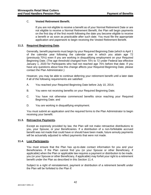#### C. **Vested Retirement Benefit.**

If you are not eligible to receive a benefit as of your Normal Retirement Date or are not eligible to receive a Normal Retirement Benefit, the Plan will begin payments on the first day of the first month following the date you become eligible to receive a benefit or as soon as practicable after such date. You must file the appropriate application and paperwork to begin receiving the Vested Retirement Benefit.

#### <span id="page-50-0"></span>**11.2. Required Beginning Date.**

Generally, benefit payments must begin by your Required Beginning Date (which is April 1 of the calendar year following the calendar year in which you attain age 72 (previously 70½) even if you are working in disqualifying employment on your Required Beginning Date. (The age threshold changed from 70½ to 72 under Federal law effective January 1, 2020 for Participants who had not reached age 70½ before that date. If you have any questions about how this change affects your Required Beginning Date, please contact the Plan Administrator.)

However, you may be able to continue deferring your retirement benefit until a later date if all of the following requirements are satisfied:

- A. You reached your Required Beginning Date before July 10, 2014;
- B. You were not receiving benefits on your Required Beginning Date;
- C. You have not otherwise commenced benefits since reaching your Required Beginning Date; and
- D. You are working in disqualifying employment.

You must submit an application and the required forms to the Plan Administrator to begin receiving your benefit.

#### **11.3. Retroactive Payments.**

Except as expressly provided by law, the Plan will not make retroactive distributions to you, your Spouse, or your Beneficiaries. If a distribution of a non-forfeitable accrued benefit was not made that could have or should have been made, future annuity payments will be actuarially adjusted to reflect payments that were not made.

#### <span id="page-50-1"></span>**11.4. Lost Participants.**

You must ensure that the Plan has up-to-date contact information for you and your Beneficiaries. If the Plan cannot find you (or your Spouse or other Beneficiary, if applicable) when the Plan or applicable law requires a payment or distribution to be made, you (or your Spouse or other Beneficiary, if applicable) may forfeit your right to a retirement benefit under the Plan as described in this Section [11.4.](#page-50-1)

Subject to a right of reinstatement, payment or distribution of a retirement benefit under the Plan will be forfeited to the Plan if: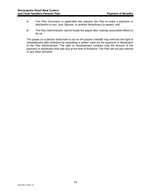- A. The Plan Document or applicable law requires the Plan to make a payment or distribution to you, your Spouse, or another Beneficiary (a payee); and
- B. The Plan Administrator cannot locate the payee after making reasonable efforts to do so.

The payee (or a person authorized to act on the payee's behalf) may exercise the right of reinstatement after forfeiture by submitting a written claim for the payment or distribution to the Plan Administrator. The right to reinstatement includes only the amount of the payment or distribution that was due at the time of forfeiture. The Plan will not pay interest or any other amounts.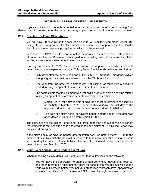#### **SECTION 12 APPEAL OF DENIAL OF BENEFITS**

<span id="page-52-0"></span>If your application for benefits is denied in full or part, you will be informed in writing. You also will be told the reason for the denial. You may appeal the decision in the following manner.

#### **12.1. Deadline for Filing Claim Appeal.**

You will have 60 days (or, in the case of a claim for a Disability Retirement Benefit, 180 days) after receiving notice of a claim denial to submit a written appeal of the denial to the Plan Administrator explaining why the denial should be reviewed.

In response to COVID-19, the Plan adopted temporary rules in response to Department of Labor and Internal Revenue Service guidance providing extended timeframes related to filing appeals of adverse benefit determinations.

Starting on March 1, 2020, the deadline to file an appeal of an adverse benefit determination was suspended during a "Tolling Period," which ends on the earlier of either:

- A. Sixty days after the announced end of the COVID-19 National Emergency (which is ongoing and is sometimes referred to as the "Outbreak Period"); or
- B. One year from the date the claimant was first eligible for relief from a deadline related to filing an appeal of an adverse benefit determination.

The earliest date that the claimant was first eligible for relief from a deadline related to filing an appeal of an adverse benefit determination is either:

- 1. March 1, 2020 for claim denials or adverse benefit determinations occurring on or before March 1, 2020. To be in this window, the last day of the applicable deadline must have been on or after March 1, 2020; or
- 2. The date of a claim denial or adverse benefit determination, if the date was after March 1, 2020, but before March 1, 2021.

The calculation of the Tolling Period and relief from deadlines and suspension of certain requirements is fact-specific and is analyzed as to each claimant. The Tolling Period may not exceed one year.

If the claim denial or adverse benefit determination occurred before March 1, 2020, the number of days by which the claimant is required to take action after the Tolling Period is shortened by the number of days between the date of the claim denial or adverse benefit determination and March 1, 2020.

#### **12.2. Your Claim Appeal Rights Under Federal Law.**

When appealing a claim denial, your rights under federal law include the following.

A. You will have the opportunity to submit written comments, documents, records, and other information relating to the claim for benefits that you believe will support your claim. However, neither you nor your authorized representative (appointed as described in Section [12.3 below\)](#page-53-0) will NOT have the right to make a personal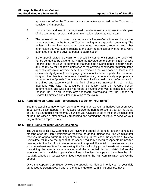appearance before the Trustees or any committee appointed by the Trustees to consider claim appeals.

- B. Upon request and free of charge, you will receive reasonable access to and copies of all documents, records, and other information relevant to your claim.
- C. The review will be conducted by an Appeals or Review Committee (or, if none has been appointed, by the Board of Trustees acting as an Appeals Committee). The review will take into account all comments, documents, records, and other information that you submit relating to the claim regardless of whether they were submitted prior to the adverse benefit determination.
- D. If the appeal relates to a claim for a Disability Retirement Benefit, the review will not be conducted by anyone that made the adverse benefit determination or who reports to the individual or committee that made the adverse benefit determination, and the review will not afford deference to the adverse benefit determination. If the appeal relates to an adverse benefit determination that was based at least in part on a medical judgment (including a judgment about whether a particular treatment, drug, or other item is experimental, investigational, or not medically appropriate or necessary), the Appeals Committee will consult with a healthcare professional who is trained and experienced in the field of medicine involved in that medical judgment, who was not consulted in connection with the adverse benefit determination, and who does not report to anyone who was so consulted. Upon request, the Plan will identify any healthcare professional that the Appeals or Review Committee consulted in relation to the claim.

#### <span id="page-53-0"></span>**12.3. Appointing an Authorized Representative to Act on Your Behalf.**

You may appoint someone (such as an attorney) to act as your authorized representative in pursuing a claim appeal. The Trustees reserve the right to refuse to treat an individual as your duly authorized representative unless you have delivered to the Plan Administrator at the Fund Office a letter explicitly authorizing and naming the individual to serve as your duly authorized representative.

#### **12.4. Time Frame for Claim Appeal Decisions.**

The Appeals or Review Committee will review the appeal at its next regularly scheduled meeting after the Plan Administrator receives the appeal, unless the Plan Administrator receives the appeal within 30 days of that meeting. In that case, the Appeals or Review Committee will review the appeal at the second regularly scheduled Appeals Committee meeting after the Plan Administrator receives the appeal. If special circumstances require a further extension of time for processing, the Plan will notify you of the extension in writing (describing the special circumstances and the expected decision date) before the extension begins, and the Appeals Committee will review the appeal no later than the third regularly scheduled Appeals Committee meeting after the Plan Administrator receives the appeal.

Once the Appeals Committee reviews the appeal, the Plan will notify you (or your duly authorized representative, if any) of the appeal decision within five business days.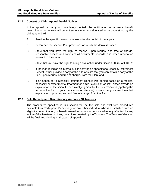#### **12.5. Content of Claim Appeal Denial Notices.**

If the appeal is partly or completely denied, the notification of adverse benefit determination on review will be written in a manner calculated to be understood by the claimant and will:

- A. Provide the specific reason or reasons for the denial of the appeal;
- B. Reference the specific Plan provisions on which the denial is based;
- C. State that you have the right to receive, upon request and free of charge, reasonable access and copies of all documents, records, and other information relevant to the claim;
- D. State that you have the right to bring a civil action under Section 502(a) of ERISA;
- E. If the Plan relied on an internal rule in denying an appeal for a Disability Retirement Benefit, either provide a copy of the rule or state that you can obtain a copy of the rule, upon request and free of charge, from the Plan; and
- F. If an appeal for a Disability Retirement Benefit was denied based on a medical necessity or experimental treatment or similar exclusion or limit, either provide an explanation of the scientific or clinical judgment for the determination (applying the terms of the Plan to your medical circumstances) or state that you can obtain that explanation, upon request and free of charge, from the Plan.

#### **12.6. Sole Remedy and Discretionary Authority Of Trustees.**

The procedures specified in this section will be the sole and exclusive procedures available to a Participant, Beneficiary, or any other individual who is dissatisfied with an eligibility determination, or benefit award, or who is otherwise adversely affected by any action of the Trustees or of any committee created by the Trustees. The Trustees' decision will be final and binding in all cases of appeal.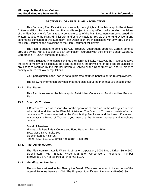#### **SECTION 13 GENERAL PLAN INFORMATION**

This Summary Plan Description covers only the highlights of the Minneapolis Retail Meat Cutters and Food Handlers Pension Plan and is subject to and qualified by the detailed provisions of the Plan Document's formal text. A complete copy of the Plan Document can be obtained via written request to the Plan Administrator and/or is available for review at the Fund Office. If any statements contained in this Summary Plan Description are inconsistent with any provisions of the Plan Document, the provisions of the Plan Document will govern.

The Plan is subject to continuing U.S. Treasury Department approval. Certain benefits provided by the Plan are subject to plan termination insurance with the Pension Benefit Guaranty Corporation ("PBGC") pursuant to ERISA.

It is the Trustees' intention to continue the Plan indefinitely. However, the Trustees reserve the right to modify or discontinue the Plan. In addition, the provisions of the Plan are subject to any changes required by the Internal Revenue Service or the Department of Labor in order to comply with federal law or regulations.

Your participation in the Plan is not a guarantee of future benefits or future employment.

The following information provides important facts about the Plan that you should know.

#### **13.1. Plan Name.**

This Plan is known as the Minneapolis Retail Meat Cutters and Food Handlers Pension Plan.

#### **13.2. Board Of Trustees.**

A Board of Trustees is responsible for the operation of this Plan but has delegated certain administrative duties to the Plan Administrator. The Board of Trustees consists of equal numbers of Trustees selected by the Contributing Employers and the Union. If you wish to contact the Board of Trustees, you may use the following address and telephone number:

Board of Trustees Minneapolis Retail Meat Cutters and Food Handlers Pension Plan 3001 Metro Drive, Suite 500 Bloomington, MN 55425 Phone: (952) 851-5797 or toll-free at (844) 468-5917

#### **13.3. Plan Administrator.**

The Plan Administrator is Wilson-McShane Corporation, 3001 Metro Drive, Suite 500, Bloomington, MN 55425. Wilson-McShane Corporation's telephone number is (952) 851-5797 or toll-free at (844) 468-5917.

#### **13.4. Identification Numbers.**

The number assigned to this Plan by the Board of Trustees pursuant to instructions of the Internal Revenue Service is 001. The Employer Identification Number is 41-0905139.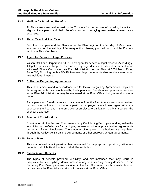#### **13.5. Medium for Providing Benefits.**

All Plan assets are held in trust by the Trustees for the purpose of providing benefits to eligible Participants and their Beneficiaries and defraying reasonable administrative expenses.

#### **13.6. Fiscal Year And Plan Year.**

Both the fiscal year and the Plan Year of the Plan begin on the first day of March each year and end on the last day of February of the following year. All records of the Plan are kept on a Plan Year basis.

#### **13.7. Agent for Service of Legal Process.**

Wilson-McShane Corporation is the Plan's agent for service of legal process. Accordingly, if legal disputes involving the Plan arise, any legal documents should be served upon Wilson-McShane Corporation, as Plan Administrator for the Plan, at 3001 Metro Drive, Suite 500, Bloomington, MN 55425. However, legal documents also may be served upon any individual Trustee.

#### **13.8. Collective Bargaining Agreements.**

This Plan is maintained in accordance with Collective Bargaining Agreements. Copies of those agreements may be obtained by Participants and Beneficiaries upon written request to the Plan Administrator or may be examined at the Fund Office during normal business hours.

Participants and Beneficiaries also may receive from the Plan Administrator, upon written request, information as to whether a particular employer or employee organization is a sponsor of the Plan and, if the employer or employee organization is a Plan sponsor, the sponsor's address.

#### **13.9. Source of Contributions.**

Contributions to the Pension Fund are made by Contributing Employers working within the jurisdiction of the Collective Bargaining Agreements or other approved written agreements on behalf of their Employees. The amounts of employer contributions are negotiated through the Collective Bargaining Agreements or other approved written agreements.

#### **13.10. Type of Plan.**

This is a defined benefit pension plan maintained for the purpose of providing retirement benefits to eligible Participants and their Beneficiaries.

#### **13.11. Eligibility and Benefits.**

The types of benefits provided, eligibility, and circumstances that may result in disqualifications, ineligibility, denial, or loss of any benefits as generally described in this Summary Plan Description are described in the Plan Document, which is available upon request from the Plan Administrator or for review at the Fund Office.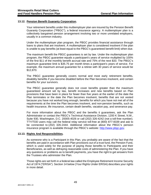#### **13.12. Pension Benefit Guaranty Corporation.**

Your retirement benefits under this multiemployer plan are insured by the Pension Benefit Guaranty Corporation ("PBGC"), a federal insurance agency. A multiemployer plan is a collectively bargained pension arrangement involving two or more unrelated employers, usually in a common industry.

Under the multiemployer plan program, the PBGC provides financial assistance through loans to plans that are insolvent. A multiemployer plan is considered insolvent if the plan is unable to pay benefits (at least equal to the PBGC's guaranteed benefit limit) when due.

The maximum benefit the PBGC guarantees is set by law. Under the multiemployer plan program, the PBGC guarantee equals a participant's years of service multiplied by 100% of the first \$11 of the monthly benefit accrual rate and 75% of the next \$33. The PBGC's maximum guarantee limit is \$35.75 per month times a participant's years of service. For example, the maximum annual guarantee for a retiree with 30 years of service would be \$12,870.

The PBGC guarantee generally covers normal and most early retirement benefits, disability benefits if you become disabled before the Plan becomes insolvent, and certain benefits for your survivors.

The PBGC guarantee generally does not cover benefits greater than the maximum guaranteed amount set by law, benefit increases and new benefits based on Plan provisions that have been in place for fewer than five years at the earlier of the date the Plan terminates or the date the Plan becomes insolvent, benefits that are not vested because you have not worked long enough, benefits for which you have not met all of the requirements at the time the Plan becomes insolvent, and non-pension benefits, such as health insurance, life insurance, certain death benefits, vacation pay, and severance pay.

For more information about the PBGC and the benefits it guarantees, ask the Plan Administrator or contact the PBGC's Technical Assistance Division, 1200 K Street, N.W., Suite 930, Washington, D.C. 20005-4026 or call (202) 326-4242 (not a toll-free number). TTY/TDD users may call the federal relay service toll-free at (800) 877-8339 and ask to be connected to (202) 326-2444. Additional information about the PBGC's pension insurance program is available through the PBGC's website: [http://www.pbgc.gov.](http://www.pbgc.gov/)

#### **13.13. Rights And Responsibilities.**

As someone who is a Participant in this Plan, you probably are aware of the fact that the benefits are paid in accordance with Plan provisions out of a trust fund, the Pension Fund, which is used solely for the purpose of paying those benefits to Participants and their Beneficiaries, as well as defraying reasonable costs of administering the Plan. If you have any questions or problems as to benefit payments, you have the right to get answers from the Trustees who administer the Plan.

Those rights are set forth in a federal law called the Employee Retirement Income Security Act of 1974 ("ERISA"). [Section 14 below](#page-59-0) (Your Rights Under ERISA) describes your rights in more detail.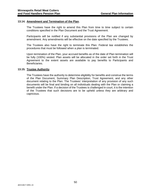#### **13.14. Amendment and Termination of the Plan.**

The Trustees have the right to amend this Plan from time to time subject to certain conditions specified in the Plan Document and the Trust Agreement.

Participants will be notified if any substantial provisions of the Plan are changed by amendment. Any amendments will be effective on the date specified by the Trustees.

The Trustees also have the right to terminate this Plan. Federal law establishes the procedures that must be followed when a plan is terminated.

Upon termination of the Plan, your accrued benefits as of the date of Plan termination will be fully (100%) vested. Plan assets will be allocated in the order set forth in the Trust Agreement to the extent assets are available to pay benefits to Participants and Beneficiaries.

#### **13.15. Trustee Authority.**

The Trustees have the authority to determine eligibility for benefits and construe the terms of the Plan Document, Summary Plan Description, Trust Agreement, and any other document relating to the Plan. The Trustees' interpretation of any provision of any such documents will be final and binding on all individuals dealing with the Plan or claiming a benefit under the Plan. If a decision of the Trustees is challenged in court, it is the intention of the Trustees that such decisions are to be upheld unless they are arbitrary and capricious.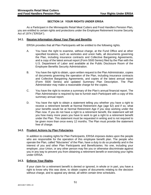#### **SECTION 14 YOUR RIGHTS UNDER ERISA**

<span id="page-59-0"></span>As a Participant in the Minneapolis Retail Meat Cutters and Food Handlers Pension Plan, you are entitled to certain rights and protections under the Employee Retirement Income Security Act of 1974 ("ERISA").

#### **14.1. Receive Information About Your Plan and Benefits.**

ERISA provides that all Plan Participants will be entitled to the following rights.

- A. You have the right to examine, without charge, at the Fund Office and at other specified locations, such as worksites and union halls, all documents governing the Plan, including insurance contracts and Collective Bargaining Agreements, and a copy of the latest annual report (Form 5500 Series) filed by the Plan with the U.S. Department of Labor and available at the Public Disclosure Room of the Employee Benefits Security Administration.
- B. You have the right to obtain, upon written request to the Plan Administrator, copies of documents governing the operation of the Plan, including insurance contracts and Collective Bargaining Agreements, and copies of the latest annual report (Form 5500 Series) and updated Summary Plan Description. The Plan Administrator may make a reasonable charge for the copies.
- C. You have the right to receive a summary of the Plan's annual financial report. The Plan Administrator is required by law to furnish each Participant with a copy of this summary annual report.
- D. You have the right to obtain a statement telling you whether you have a right to receive a retirement benefit at Normal Retirement Age (age 62) and if so, what your benefits would be at Normal Retirement Age if you stop working under the Plan now. If you do not have a right to a retirement benefit, the statement will tell you how many more years you have to work to get a right to a retirement benefit under the Plan. This statement must be requested in writing and is not required to be given more than once every 12 months. The Plan must provide the statement free of charge.

#### **14.2. Prudent Actions by Plan Fiduciaries.**

In addition to creating rights for Plan Participants, ERISA imposes duties upon the people who are responsible for the operation of this employee benefit plan. The people who operate the Plan, called "fiduciaries" of the Plan, have a duty to do so prudently and in the interest of you and other Plan Participants and Beneficiaries. No one, including your employer, your Union, or any other person may fire you or otherwise discriminate against you in any way to prevent you from obtaining a retirement benefit or exercising your rights under ERISA.

#### **14.3. Enforce Your Rights.**

If your claim for a retirement benefit is denied or ignored, in whole or in part, you have a right to know why this was done, to obtain copies of documents relating to the decision without charge, and to appeal any denial, all within certain time schedules.